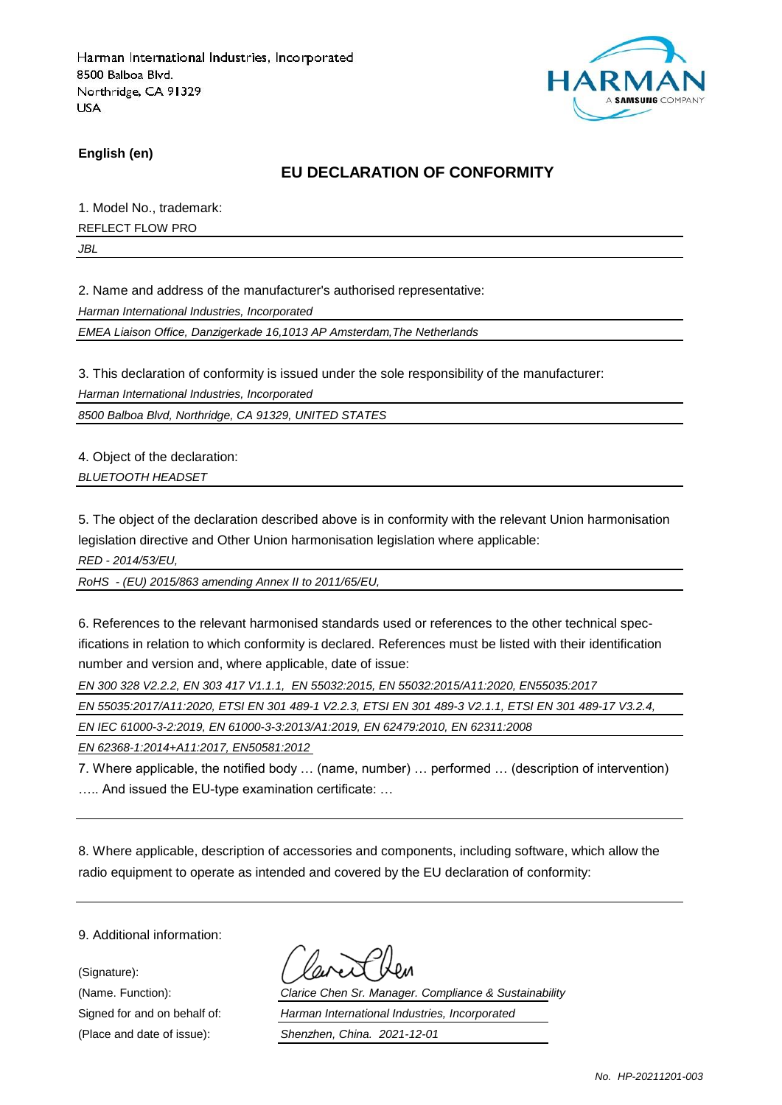

**English (en)**

### **EU DECLARATION OF CONFORMITY**

1. Model No., trademark:

REFLECT FLOW PRO

*JBL*

2. Name and address of the manufacturer's authorised representative:

*Harman International Industries, Incorporated*

*EMEA Liaison Office, Danzigerkade 16,1013 AP Amsterdam,The Netherlands*

3. This declaration of conformity is issued under the sole responsibility of the manufacturer:

*Harman International Industries, Incorporated*

*8500 Balboa Blvd, Northridge, CA 91329, UNITED STATES*

4. Object of the declaration: *BLUETOOTH HEADSET*

5. The object of the declaration described above is in conformity with the relevant Union harmonisation legislation directive and Other Union harmonisation legislation where applicable:

*RED - 2014/53/EU,*

*RoHS - (EU) 2015/863 amending Annex II to 2011/65/EU,*

6. References to the relevant harmonised standards used or references to the other technical specifications in relation to which conformity is declared. References must be listed with their identification number and version and, where applicable, date of issue:

*EN 300 328 V2.2.2, EN 303 417 V1.1.1, EN 55032:2015, EN 55032:2015/A11:2020, EN55035:2017*

*EN 55035:2017/A11:2020, ETSI EN 301 489-1 V2.2.3, ETSI EN 301 489-3 V2.1.1, ETSI EN 301 489-17 V3.2.4,* 

*EN IEC 61000-3-2:2019, EN 61000-3-3:2013/A1:2019, EN 62479:2010, EN 62311:2008*

*EN 62368-1:2014+A11:2017, EN50581:2012* 

7. Where applicable, the notified body … (name, number) … performed … (description of intervention) ….. And issued the EU-type examination certificate: …

8. Where applicable, description of accessories and components, including software, which allow the radio equipment to operate as intended and covered by the EU declaration of conformity:

9. Additional information:

(Signature):

(Name. Function): *Clarice Chen Sr. Manager. Compliance & Sustainability* Signed for and on behalf of: *Harman International Industries, Incorporated* (Place and date of issue): *Shenzhen, China. 2021-12-01*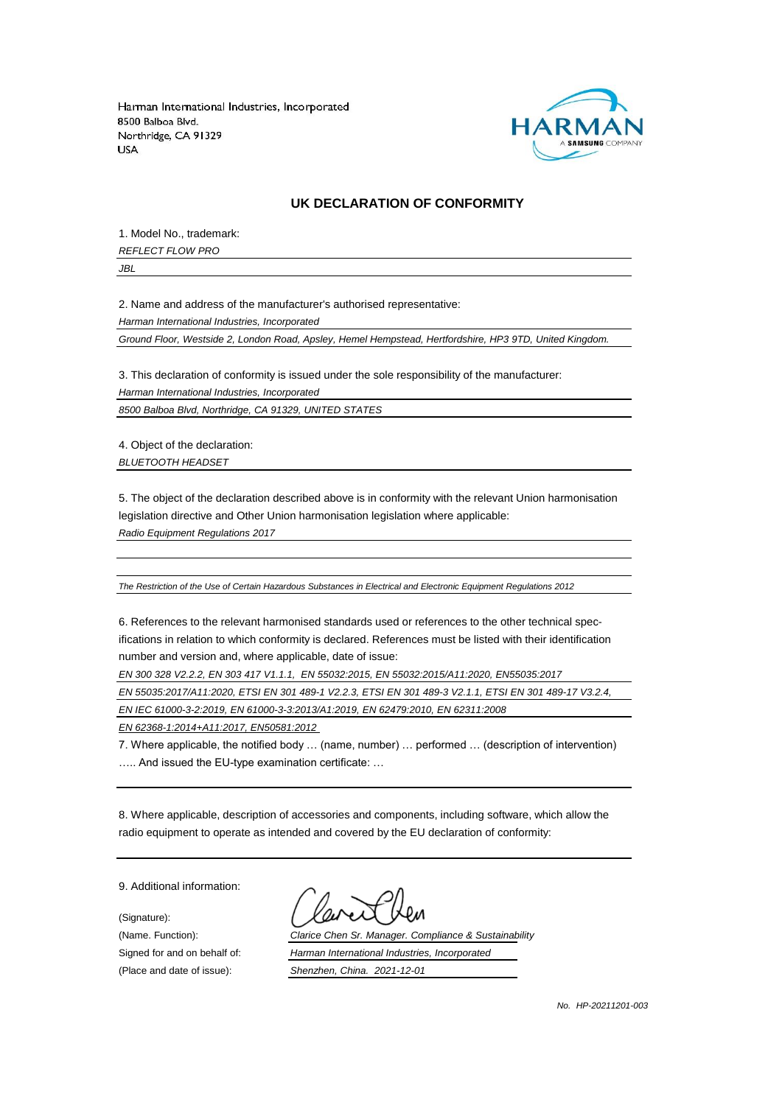

#### **UK DECLARATION OF CONFORMITY**

1. Model No., trademark:

*REFLECT FLOW PRO*

*JBL*

2. Name and address of the manufacturer's authorised representative:

*Harman International Industries, Incorporated*

*Ground Floor, Westside 2, London Road, Apsley, Hemel Hempstead, Hertfordshire, HP3 9TD, United Kingdom.*

3. This declaration of conformity is issued under the sole responsibility of the manufacturer:

*Harman International Industries, Incorporated*

*8500 Balboa Blvd, Northridge, CA 91329, UNITED STATES*

4. Object of the declaration: *BLUETOOTH HEADSET*

5. The object of the declaration described above is in conformity with the relevant Union harmonisation legislation directive and Other Union harmonisation legislation where applicable:

*Radio Equipment Regulations 2017*

*The Restriction of the Use of Certain Hazardous Substances in Electrical and Electronic Equipment Regulations 2012*

6. References to the relevant harmonised standards used or references to the other technical specifications in relation to which conformity is declared. References must be listed with their identification number and version and, where applicable, date of issue:

*EN 300 328 V2.2.2, EN 303 417 V1.1.1, EN 55032:2015, EN 55032:2015/A11:2020, EN55035:2017*

*EN 55035:2017/A11:2020, ETSI EN 301 489-1 V2.2.3, ETSI EN 301 489-3 V2.1.1, ETSI EN 301 489-17 V3.2.4,* 

*EN IEC 61000-3-2:2019, EN 61000-3-3:2013/A1:2019, EN 62479:2010, EN 62311:2008*

*EN 62368-1:2014+A11:2017, EN50581:2012* 

7. Where applicable, the notified body … (name, number) … performed … (description of intervention) ….. And issued the EU-type examination certificate: …

8. Where applicable, description of accessories and components, including software, which allow the radio equipment to operate as intended and covered by the EU declaration of conformity:

9. Additional information:

(Signature):

(Name. Function): *Clarice Chen Sr. Manager. Compliance & Sustainability* Signed for and on behalf of: *Harman International Industries, Incorporated* (Place and date of issue): *Shenzhen, China. 2021-12-01*

*No. HP-20211201-003*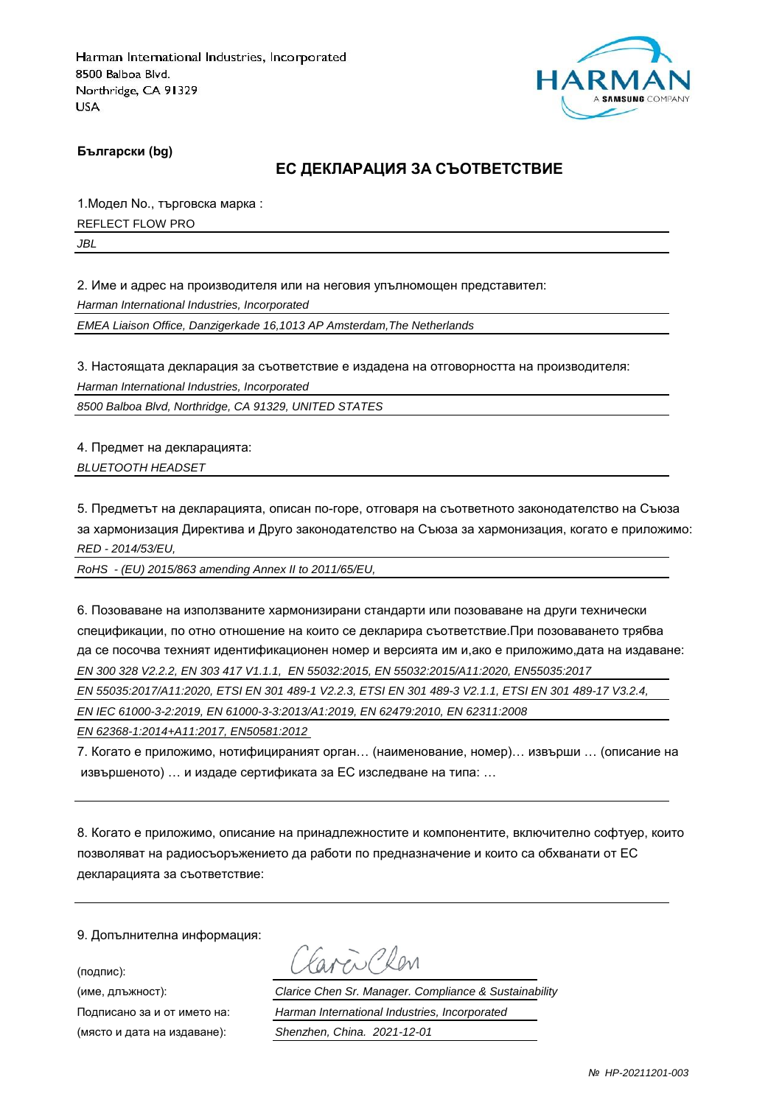

**Български (bg)**

#### **ЕС ДЕКЛАРАЦИЯ ЗА СЪОТВЕТСТВИЕ**

1.Модел No., търговска марка : REFLECT FLOW PRO

*JBL*

2. Име и адрес на производителя или на неговия упълномощен представител:

*Harman International Industries, Incorporated*

*EMEA Liaison Office, Danzigerkade 16,1013 AP Amsterdam,The Netherlands*

3. Настоящата декларация за съответствие е издадена на отговорността на производителя:

*Harman International Industries, Incorporated*

*8500 Balboa Blvd, Northridge, CA 91329, UNITED STATES*

4. Предмет на декларацията: *BLUETOOTH HEADSET*

5. Предметът на декларацията, описан по-горе, отговаря на съответното законодателство на Съюза за хармонизация Директива и Друго законодателство на Съюза за хармонизация, когато е приложимо: *RED - 2014/53/EU,*

*RoHS - (EU) 2015/863 amending Annex II to 2011/65/EU,*

6. Позоваване на използваните хармонизирани стандарти или позоваване на други технически спецификации, по отно отношение на които се декларира съответствие.При позоваването трябва да се посочва техният идентификационен номер и версията им и,ако е приложимо,дата на издаване: *EN 300 328 V2.2.2, EN 303 417 V1.1.1, EN 55032:2015, EN 55032:2015/A11:2020, EN55035:2017*

*EN 55035:2017/A11:2020, ETSI EN 301 489-1 V2.2.3, ETSI EN 301 489-3 V2.1.1, ETSI EN 301 489-17 V3.2.4,* 

*EN IEC 61000-3-2:2019, EN 61000-3-3:2013/A1:2019, EN 62479:2010, EN 62311:2008*

*EN 62368-1:2014+A11:2017, EN50581:2012* 

7. Когато е приложимо, нотифицираният орган… (наименование, номер)… извърши … (описание на извършеното) … и издаде сертификата за ЕС изследване на типа: …

8. Когато е приложимо, описание на принадлежностите и компонентите, включително софтуер, които позволяват на радиосъоръжението да работи по предназначение и които са обхванати от ЕС декларацията за съответствие:

9. Допълнителна информация:

(подпис):

avenChan

(име, длъжност): *Clarice Chen Sr. Manager. Compliance & Sustainability* Подписано за и от името на: *Harman International Industries, Incorporated* (място и дата на издаване): *Shenzhen, China. 2021-12-01*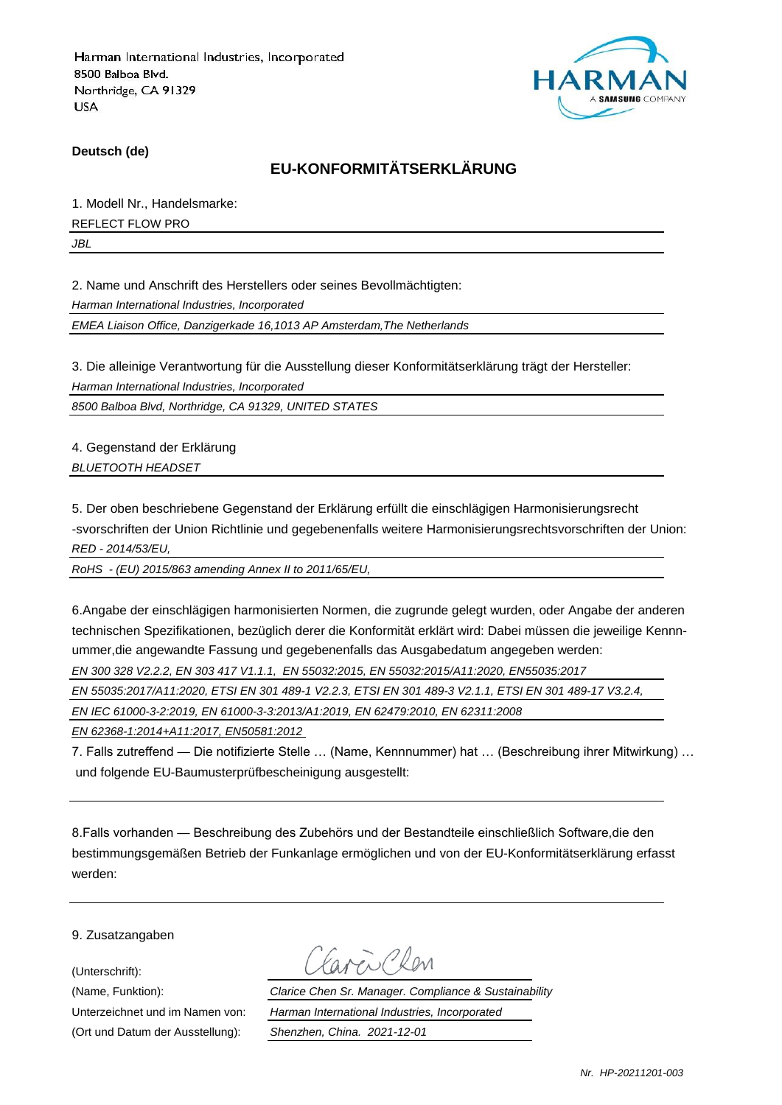

**Deutsch (de)**

### **EU-KONFORMITÄTSERKLÄRUNG**

1. Modell Nr., Handelsmarke: REFLECT FLOW PRO

*JBL*

2. Name und Anschrift des Herstellers oder seines Bevollmächtigten:

*Harman International Industries, Incorporated*

*EMEA Liaison Office, Danzigerkade 16,1013 AP Amsterdam,The Netherlands*

3. Die alleinige Verantwortung für die Ausstellung dieser Konformitätserklärung trägt der Hersteller:

*Harman International Industries, Incorporated*

*8500 Balboa Blvd, Northridge, CA 91329, UNITED STATES*

4. Gegenstand der Erklärung *BLUETOOTH HEADSET*

5. Der oben beschriebene Gegenstand der Erklärung erfüllt die einschlägigen Harmonisierungsrecht -svorschriften der Union Richtlinie und gegebenenfalls weitere Harmonisierungsrechtsvorschriften der Union: *RED - 2014/53/EU,*

*RoHS - (EU) 2015/863 amending Annex II to 2011/65/EU,*

6.Angabe der einschlägigen harmonisierten Normen, die zugrunde gelegt wurden, oder Angabe der anderen technischen Spezifikationen, bezüglich derer die Konformität erklärt wird: Dabei müssen die jeweilige Kennnummer,die angewandte Fassung und gegebenenfalls das Ausgabedatum angegeben werden:

*EN 300 328 V2.2.2, EN 303 417 V1.1.1, EN 55032:2015, EN 55032:2015/A11:2020, EN55035:2017*

*EN 55035:2017/A11:2020, ETSI EN 301 489-1 V2.2.3, ETSI EN 301 489-3 V2.1.1, ETSI EN 301 489-17 V3.2.4,* 

*EN IEC 61000-3-2:2019, EN 61000-3-3:2013/A1:2019, EN 62479:2010, EN 62311:2008*

*EN 62368-1:2014+A11:2017, EN50581:2012* 

7. Falls zutreffend — Die notifizierte Stelle … (Name, Kennnummer) hat … (Beschreibung ihrer Mitwirkung) … und folgende EU-Baumusterprüfbescheinigung ausgestellt:

8.Falls vorhanden — Beschreibung des Zubehörs und der Bestandteile einschließlich Software,die den bestimmungsgemäßen Betrieb der Funkanlage ermöglichen und von der EU-Konformitätserklärung erfasst werden:

9. Zusatzangaben

(Unterschrift):

(Ort und Datum der Ausstellung): *Shenzhen, China. 2021-12-01*

New Chen

(Name, Funktion): *Clarice Chen Sr. Manager. Compliance & Sustainability* Unterzeichnet und im Namen von: *Harman International Industries, Incorporated*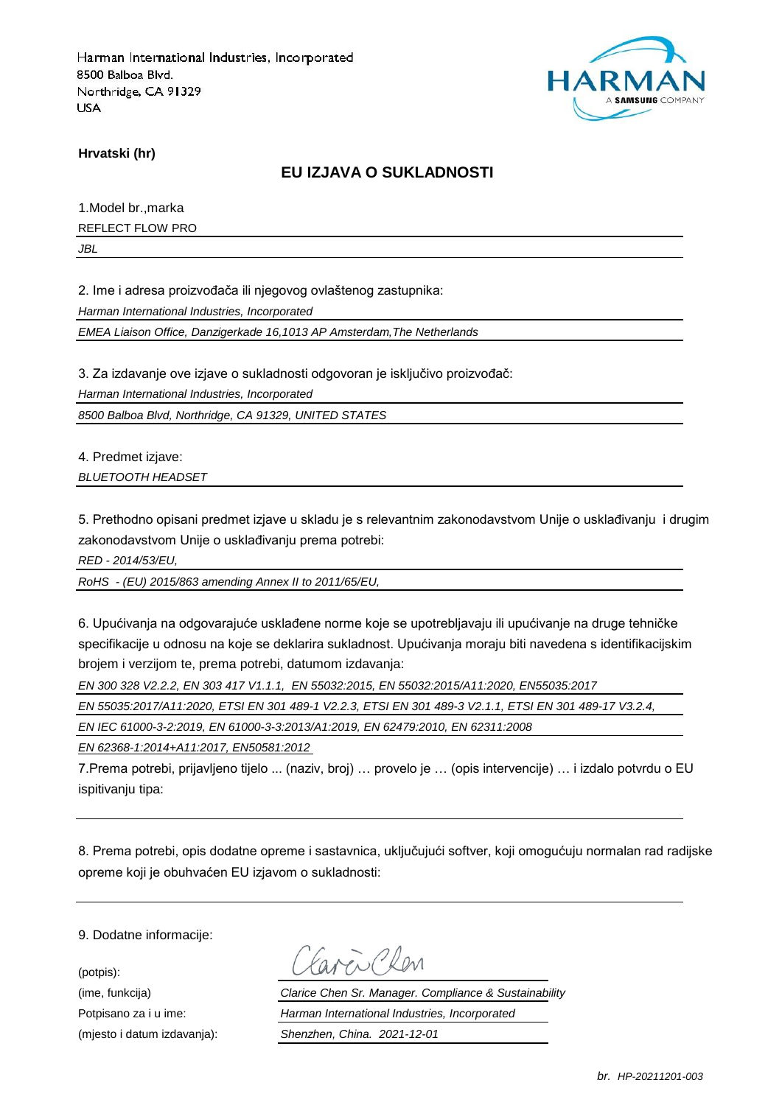

**Hrvatski (hr)**

### **EU IZJAVA O SUKLADNOSTI**

1.Model br.,marka

REFLECT FLOW PRO

*JBL*

2. Ime i adresa proizvođača ili njegovog ovlaštenog zastupnika:

*Harman International Industries, Incorporated*

*EMEA Liaison Office, Danzigerkade 16,1013 AP Amsterdam,The Netherlands*

3. Za izdavanje ove izjave o sukladnosti odgovoran je isključivo proizvođač:

*Harman International Industries, Incorporated*

*8500 Balboa Blvd, Northridge, CA 91329, UNITED STATES*

4. Predmet izjave:

*BLUETOOTH HEADSET*

5. Prethodno opisani predmet izjave u skladu je s relevantnim zakonodavstvom Unije o usklađivanju i drugim zakonodavstvom Unije o usklađivanju prema potrebi:

*RED - 2014/53/EU,*

*RoHS - (EU) 2015/863 amending Annex II to 2011/65/EU,*

6. Upućivanja na odgovarajuće usklađene norme koje se upotrebljavaju ili upućivanje na druge tehničke specifikacije u odnosu na koje se deklarira sukladnost. Upućivanja moraju biti navedena s identifikacijskim brojem i verzijom te, prema potrebi, datumom izdavanja:

*EN 300 328 V2.2.2, EN 303 417 V1.1.1, EN 55032:2015, EN 55032:2015/A11:2020, EN55035:2017*

*EN 55035:2017/A11:2020, ETSI EN 301 489-1 V2.2.3, ETSI EN 301 489-3 V2.1.1, ETSI EN 301 489-17 V3.2.4,* 

*EN IEC 61000-3-2:2019, EN 61000-3-3:2013/A1:2019, EN 62479:2010, EN 62311:2008*

*EN 62368-1:2014+A11:2017, EN50581:2012* 

7.Prema potrebi, prijavljeno tijelo ... (naziv, broj) … provelo je … (opis intervencije) … i izdalo potvrdu o EU ispitivaniu tipa:

8. Prema potrebi, opis dodatne opreme i sastavnica, uključujući softver, koji omogućuju normalan rad radijske opreme koji je obuhvaćen EU izjavom o sukladnosti:

9. Dodatne informacije:

(potpis):

Favor Chen

(ime, funkcija) *Clarice Chen Sr. Manager. Compliance & Sustainability* Potpisano za i u ime: *Harman International Industries, Incorporated* (mjesto i datum izdavanja): *Shenzhen, China. 2021-12-01*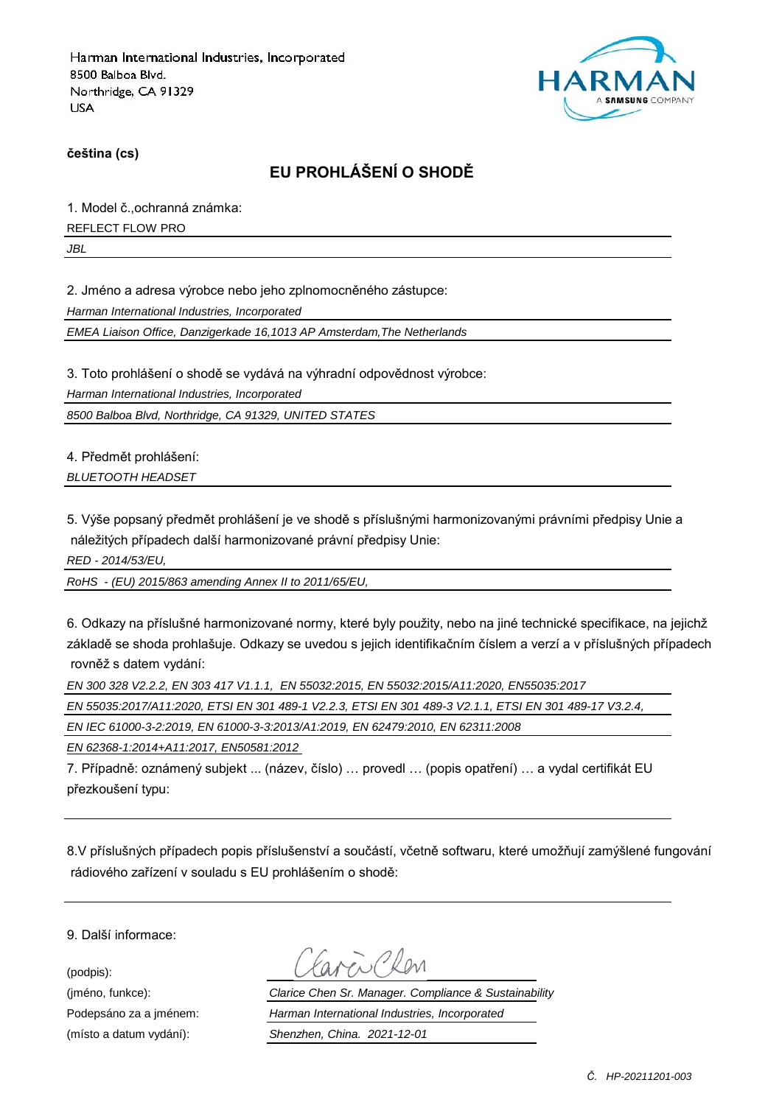

**čeština (cs)**

# **EU PROHLÁŠENÍ O SHODĚ**

1. Model č.,ochranná známka:

REFLECT FLOW PRO

*JBL*

2. Jméno a adresa výrobce nebo jeho zplnomocněného zástupce:

*Harman International Industries, Incorporated*

*EMEA Liaison Office, Danzigerkade 16,1013 AP Amsterdam,The Netherlands*

3. Toto prohlášení o shodě se vydává na výhradní odpovědnost výrobce:

*Harman International Industries, Incorporated*

*8500 Balboa Blvd, Northridge, CA 91329, UNITED STATES*

4. Předmět prohlášení: *BLUETOOTH HEADSET*

5. Výše popsaný předmět prohlášení je ve shodě s příslušnými harmonizovanými právními předpisy Unie a náležitých případech další harmonizované právní předpisy Unie:

*RED - 2014/53/EU,*

*RoHS - (EU) 2015/863 amending Annex II to 2011/65/EU,*

6. Odkazy na příslušné harmonizované normy, které byly použity, nebo na jiné technické specifikace, na jejichž základě se shoda prohlašuje. Odkazy se uvedou s jejich identifikačním číslem a verzí a v příslušných případech rovněž s datem vydání:

*EN 300 328 V2.2.2, EN 303 417 V1.1.1, EN 55032:2015, EN 55032:2015/A11:2020, EN55035:2017*

*EN 55035:2017/A11:2020, ETSI EN 301 489-1 V2.2.3, ETSI EN 301 489-3 V2.1.1, ETSI EN 301 489-17 V3.2.4,* 

*EN IEC 61000-3-2:2019, EN 61000-3-3:2013/A1:2019, EN 62479:2010, EN 62311:2008*

*EN 62368-1:2014+A11:2017, EN50581:2012* 

7. Případně: oznámený subjekt ... (název, číslo) … provedl … (popis opatření) … a vydal certifikát EU přezkoušení typu:

8.V příslušných případech popis příslušenství a součástí, včetně softwaru, které umožňují zamýšlené fungování rádiového zařízení v souladu s EU prohlášením o shodě:

9. Další informace:

(podpis):

(jméno, funkce): *Clarice Chen Sr. Manager. Compliance & Sustainability* Podepsáno za a jménem: *Harman International Industries, Incorporated* (místo a datum vydání): *Shenzhen, China. 2021-12-01*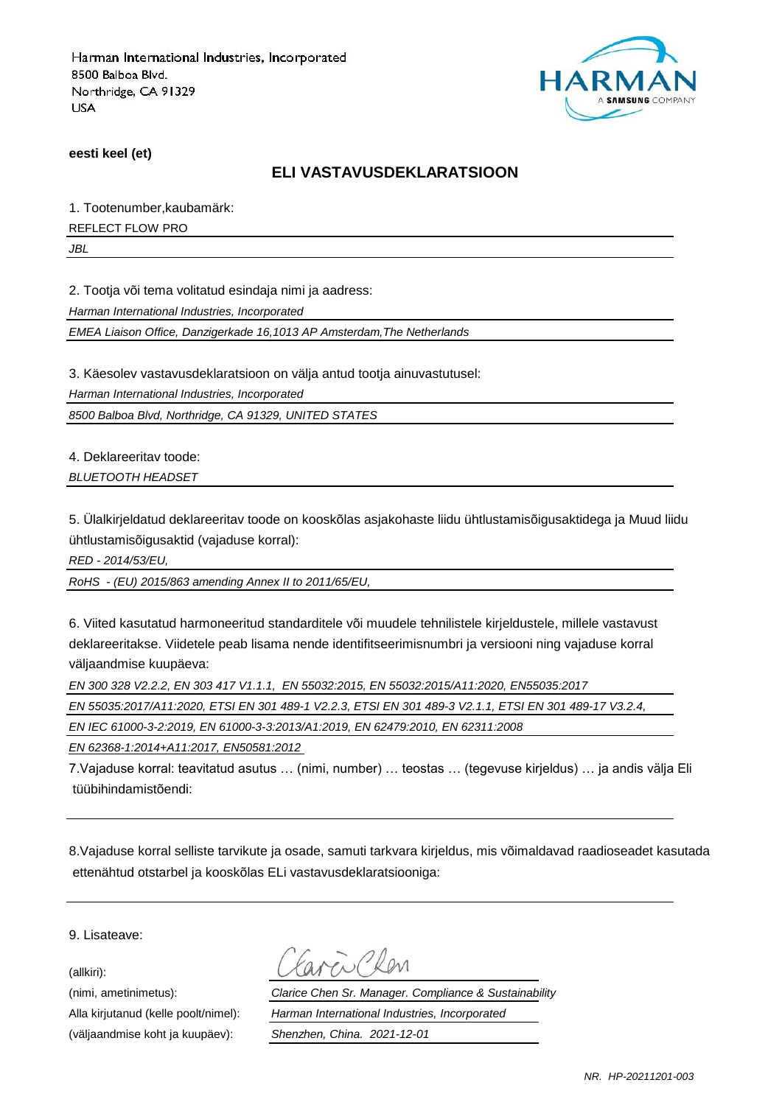

**eesti keel (et)**

#### **ELI VASTAVUSDEKLARATSIOON**

1. Tootenumber,kaubamärk:

REFLECT FLOW PRO

*JBL*

2. Tootja või tema volitatud esindaja nimi ja aadress:

*Harman International Industries, Incorporated*

*EMEA Liaison Office, Danzigerkade 16,1013 AP Amsterdam,The Netherlands*

3. Käesolev vastavusdeklaratsioon on välja antud tootja ainuvastutusel:

*Harman International Industries, Incorporated*

*8500 Balboa Blvd, Northridge, CA 91329, UNITED STATES*

4. Deklareeritav toode: *BLUETOOTH HEADSET*

5. Ülalkirjeldatud deklareeritav toode on kooskõlas asjakohaste liidu ühtlustamisõigusaktidega ja Muud liidu ühtlustamisõigusaktid (vajaduse korral):

*RED - 2014/53/EU,*

*RoHS - (EU) 2015/863 amending Annex II to 2011/65/EU,*

6. Viited kasutatud harmoneeritud standarditele või muudele tehnilistele kirjeldustele, millele vastavust deklareeritakse. Viidetele peab lisama nende identifitseerimisnumbri ja versiooni ning vajaduse korral väljaandmise kuupäeva:

*EN 300 328 V2.2.2, EN 303 417 V1.1.1, EN 55032:2015, EN 55032:2015/A11:2020, EN55035:2017*

*EN 55035:2017/A11:2020, ETSI EN 301 489-1 V2.2.3, ETSI EN 301 489-3 V2.1.1, ETSI EN 301 489-17 V3.2.4,* 

*EN IEC 61000-3-2:2019, EN 61000-3-3:2013/A1:2019, EN 62479:2010, EN 62311:2008*

*EN 62368-1:2014+A11:2017, EN50581:2012* 

7.Vajaduse korral: teavitatud asutus … (nimi, number) … teostas … (tegevuse kirjeldus) … ja andis välja Eli tüübihindamistõendi:

8.Vajaduse korral selliste tarvikute ja osade, samuti tarkvara kirjeldus, mis võimaldavad raadioseadet kasutada ettenähtud otstarbel ja kooskõlas ELi vastavusdeklaratsiooniga:

9. Lisateave:

(allkiri):

(väljaandmise koht ja kuupäev): *Shenzhen, China. 2021-12-01*

(nimi, ametinimetus): *Clarice Chen Sr. Manager. Compliance & Sustainability* Alla kirjutanud (kelle poolt/nimel): *Harman International Industries, Incorporated*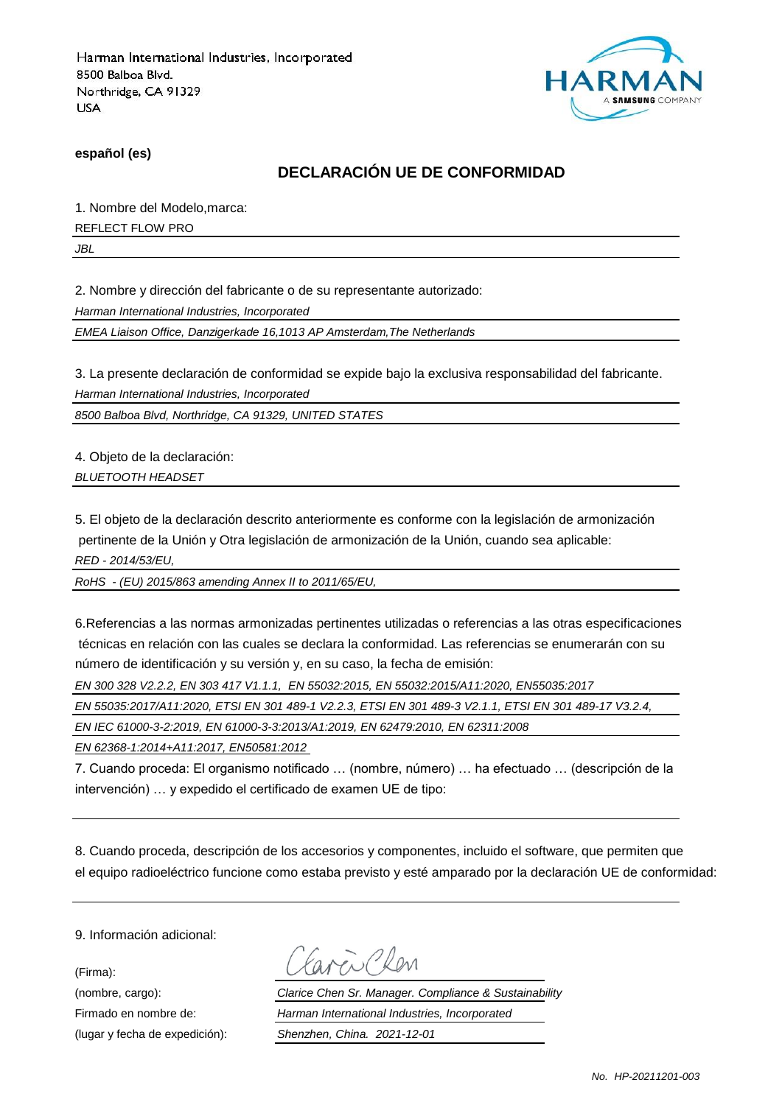

**español (es)**

### **DECLARACIÓN UE DE CONFORMIDAD**

1. Nombre del Modelo,marca:

REFLECT FLOW PRO

*JBL*

2. Nombre y dirección del fabricante o de su representante autorizado:

*Harman International Industries, Incorporated*

*EMEA Liaison Office, Danzigerkade 16,1013 AP Amsterdam,The Netherlands*

3. La presente declaración de conformidad se expide bajo la exclusiva responsabilidad del fabricante.

*Harman International Industries, Incorporated*

*8500 Balboa Blvd, Northridge, CA 91329, UNITED STATES*

4. Objeto de la declaración: *BLUETOOTH HEADSET*

5. El objeto de la declaración descrito anteriormente es conforme con la legislación de armonización pertinente de la Unión y Otra legislación de armonización de la Unión, cuando sea aplicable: *RED - 2014/53/EU,*

*RoHS - (EU) 2015/863 amending Annex II to 2011/65/EU,*

6.Referencias a las normas armonizadas pertinentes utilizadas o referencias a las otras especificaciones técnicas en relación con las cuales se declara la conformidad. Las referencias se enumerarán con su número de identificación y su versión y, en su caso, la fecha de emisión:

*EN 300 328 V2.2.2, EN 303 417 V1.1.1, EN 55032:2015, EN 55032:2015/A11:2020, EN55035:2017*

*EN 55035:2017/A11:2020, ETSI EN 301 489-1 V2.2.3, ETSI EN 301 489-3 V2.1.1, ETSI EN 301 489-17 V3.2.4,* 

*EN IEC 61000-3-2:2019, EN 61000-3-3:2013/A1:2019, EN 62479:2010, EN 62311:2008*

*EN 62368-1:2014+A11:2017, EN50581:2012* 

7. Cuando proceda: El organismo notificado … (nombre, número) … ha efectuado … (descripción de la intervención) … y expedido el certificado de examen UE de tipo:

8. Cuando proceda, descripción de los accesorios y componentes, incluido el software, que permiten que el equipo radioeléctrico funcione como estaba previsto y esté amparado por la declaración UE de conformidad:

9. Información adicional:

(Firma):

ENPROM

(nombre, cargo): *Clarice Chen Sr. Manager. Compliance & Sustainability* Firmado en nombre de: *Harman International Industries, Incorporated* (lugar y fecha de expedición): *Shenzhen, China. 2021-12-01*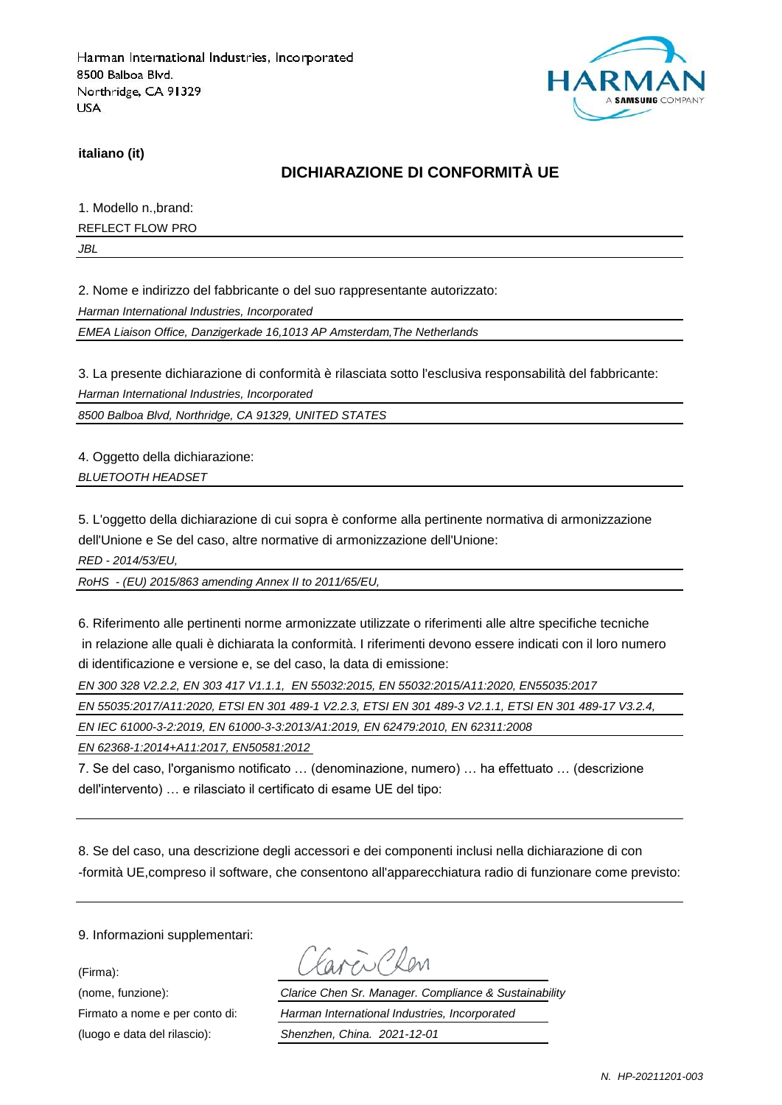

**italiano (it)**

### **DICHIARAZIONE DI CONFORMITÀ UE**

1. Modello n.,brand:

REFLECT FLOW PRO

*JBL*

2. Nome e indirizzo del fabbricante o del suo rappresentante autorizzato:

*Harman International Industries, Incorporated*

*EMEA Liaison Office, Danzigerkade 16,1013 AP Amsterdam,The Netherlands*

3. La presente dichiarazione di conformità è rilasciata sotto l'esclusiva responsabilità del fabbricante:

*Harman International Industries, Incorporated*

*8500 Balboa Blvd, Northridge, CA 91329, UNITED STATES*

4. Oggetto della dichiarazione: *BLUETOOTH HEADSET*

5. L'oggetto della dichiarazione di cui sopra è conforme alla pertinente normativa di armonizzazione dell'Unione e Se del caso, altre normative di armonizzazione dell'Unione:

*RED - 2014/53/EU,*

*RoHS - (EU) 2015/863 amending Annex II to 2011/65/EU,*

6. Riferimento alle pertinenti norme armonizzate utilizzate o riferimenti alle altre specifiche tecniche in relazione alle quali è dichiarata la conformità. I riferimenti devono essere indicati con il loro numero di identificazione e versione e, se del caso, la data di emissione:

*EN 300 328 V2.2.2, EN 303 417 V1.1.1, EN 55032:2015, EN 55032:2015/A11:2020, EN55035:2017*

*EN 55035:2017/A11:2020, ETSI EN 301 489-1 V2.2.3, ETSI EN 301 489-3 V2.1.1, ETSI EN 301 489-17 V3.2.4,* 

*EN IEC 61000-3-2:2019, EN 61000-3-3:2013/A1:2019, EN 62479:2010, EN 62311:2008*

*EN 62368-1:2014+A11:2017, EN50581:2012* 

7. Se del caso, l'organismo notificato … (denominazione, numero) … ha effettuato … (descrizione dell'intervento) … e rilasciato il certificato di esame UE del tipo:

8. Se del caso, una descrizione degli accessori e dei componenti inclusi nella dichiarazione di con -formità UE,compreso il software, che consentono all'apparecchiatura radio di funzionare come previsto:

9. Informazioni supplementari:

(Firma):

Earen Chen

(nome, funzione): *Clarice Chen Sr. Manager. Compliance & Sustainability* Firmato a nome e per conto di: *Harman International Industries, Incorporated* (luogo e data del rilascio): *Shenzhen, China. 2021-12-01*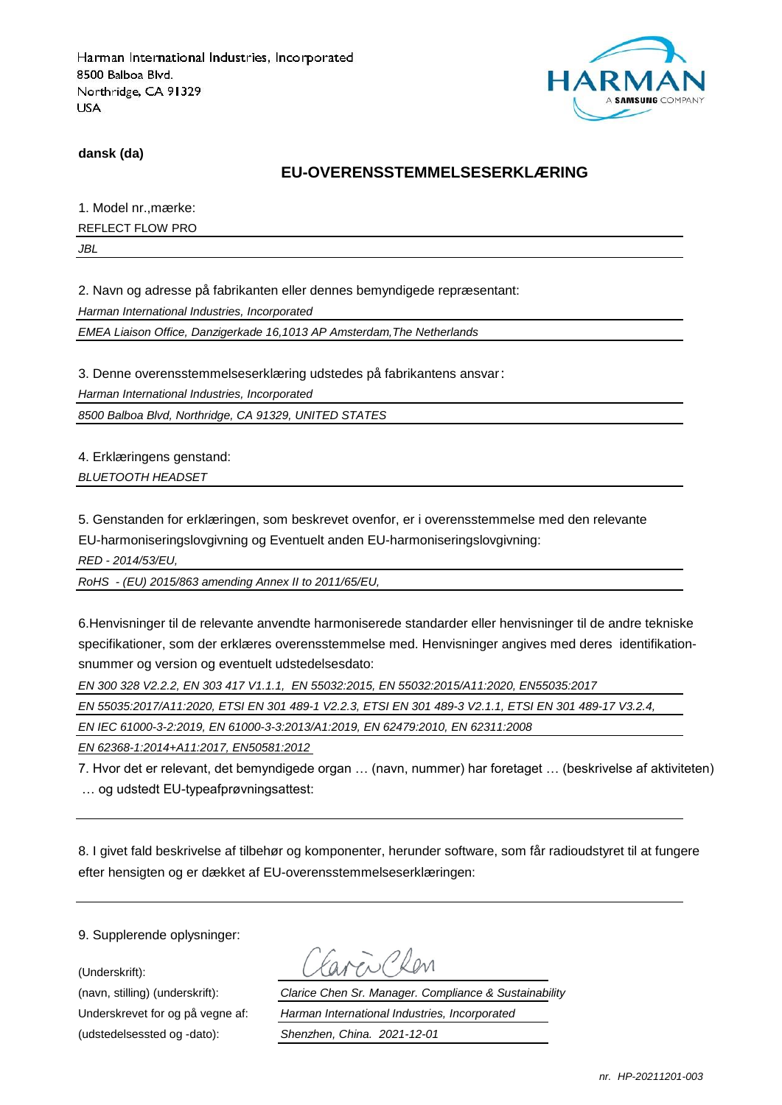

**dansk (da)**

### **EU-OVERENSSTEMMELSESERKLÆRING**

1. Model nr., mærke:

REFLECT FLOW PRO

*JBL*

2. Navn og adresse på fabrikanten eller dennes bemyndigede repræ sentant:

*Harman International Industries, Incorporated*

*EMEA Liaison Office, Danzigerkade 16,1013 AP Amsterdam,The Netherlands*

3. Denne overensstemmelseserklæring udstedes på fabrikantens ansvar:

*Harman International Industries, Incorporated*

*8500 Balboa Blvd, Northridge, CA 91329, UNITED STATES*

4. Erklæringens genstand: *BLUETOOTH HEADSET*

5. Genstanden for erklæringen, som beskrevet ovenfor, er i overensstemmelse med den relevante EU-harmoniseringslovgivning og Eventuelt anden EU-harmoniseringslovgivning:

*RED - 2014/53/EU,*

*RoHS - (EU) 2015/863 amending Annex II to 2011/65/EU,*

6.Henvisninger til de relevante anvendte harmoniserede standarder eller henvisninger til de andre tekniske specifikationer, som der erklæres overensstemmelse med. Henvisninger angives med deres identifikationsnummer og version og eventuelt udstedelsesdato:

*EN 300 328 V2.2.2, EN 303 417 V1.1.1, EN 55032:2015, EN 55032:2015/A11:2020, EN55035:2017*

*EN 55035:2017/A11:2020, ETSI EN 301 489-1 V2.2.3, ETSI EN 301 489-3 V2.1.1, ETSI EN 301 489-17 V3.2.4,* 

*EN IEC 61000-3-2:2019, EN 61000-3-3:2013/A1:2019, EN 62479:2010, EN 62311:2008*

*EN 62368-1:2014+A11:2017, EN50581:2012* 

7. Hvor det er relevant, det bemyndigede organ … (navn, nummer) har foretaget … (beskrivelse af aktiviteten) … og udstedt EU-typeafprøvningsattest:

8. I givet fald beskrivelse af tilbehør og komponenter, herunder software, som får radioudstyret til at fungere efter hensigten og er dækket af EU-overensstemmelseserklæringen:

9. Supplerende oplysninger:

(Underskrift):

(udstedelsessted og -dato): *Shenzhen, China. 2021-12-01*

(navn, stilling) (underskrift): *Clarice Chen Sr. Manager. Compliance & Sustainability* Underskrevet for og på vegne af: *Harman International Industries, Incorporated*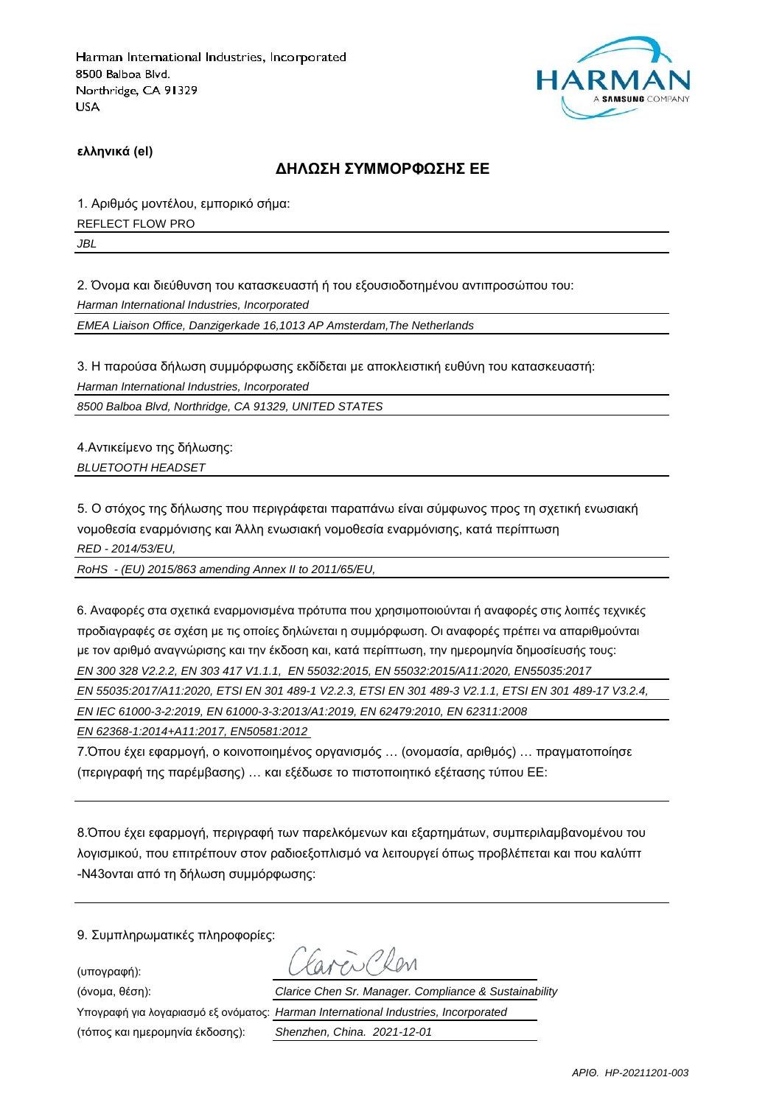

**ελληνικά (el)**

#### **ΔΗΛΩΣΗ ΣΥΜΜΟΡΦΩΣΗΣ ΕΕ**

1. Αριθμός μοντέλου, εμπορικό σήμα: REFLECT FLOW PRO

*JBL*

2. Όνομα και διεύθυνση του κατασκευαστή ή του εξουσιοδοτημένου αντιπροσώπου του:

*Harman International Industries, Incorporated*

*EMEA Liaison Office, Danzigerkade 16,1013 AP Amsterdam,The Netherlands*

3. Η παρούσα δήλωση συμμόρφωσης εκδίδεται με αποκλειστική ευθύνη του κατασκευαστή:

*Harman International Industries, Incorporated*

*8500 Balboa Blvd, Northridge, CA 91329, UNITED STATES*

4.Αντικείμενο της δήλωσης: *BLUETOOTH HEADSET*

5. Ο στόχος της δήλωσης που περιγράφεται παραπάνω είναι σύμφωνος προς τη σχετική ενωσιακή νομοθεσία εναρμόνισης και Άλλη ενωσιακή νομοθεσία εναρμόνισης, κατά περίπτωση *RED - 2014/53/EU,*

*RoHS - (EU) 2015/863 amending Annex II to 2011/65/EU,*

6. Αναφορές στα σχετικά εναρμονισμένα πρότυπα που χρησιμοποιούνται ή αναφορές στις λοιπές τεχνικές προδιαγραφές σε σχέση με τις οποίες δηλώνεται η συμμόρφωση. Οι αναφορές πρέπει να απαριθμούνται με τον αριθμό αναγνώρισης και την έκδοση και, κατά περίπτωση, την ημερομηνία δημοσίευσής τους: *EN 300 328 V2.2.2, EN 303 417 V1.1.1, EN 55032:2015, EN 55032:2015/A11:2020, EN55035:2017*

*EN 55035:2017/A11:2020, ETSI EN 301 489-1 V2.2.3, ETSI EN 301 489-3 V2.1.1, ETSI EN 301 489-17 V3.2.4,* 

*EN IEC 61000-3-2:2019, EN 61000-3-3:2013/A1:2019, EN 62479:2010, EN 62311:2008*

*EN 62368-1:2014+A11:2017, EN50581:2012* 

7.Όπου έχει εφαρμογή, ο κοινοποιημένος οργανισμός … (ονομασία, αριθμός) … πραγματοποίησε (περιγραφή της παρέμβασης) … και εξέδωσε το πιστοποιητικό εξέτασης τύπου ΕΕ:

8.Όπου έχει εφαρμογή, περιγραφή των παρελκόμενων και εξαρτημάτων, συμπεριλαμβανομένου του λογισμικού, που επιτρέπουν στον ραδιοεξοπλισμό να λειτουργεί όπως προβλέπεται και που καλύπτ -N43ονται από τη δήλωση συμμόρφωσης:

9. Συμπληρωματικές πληροφορίες:

(υπογραφή):

(τόπος και ημερομηνία έκδοσης): *Shenzhen, China. 2021-12-01*

(όνομα, θέση): *Clarice Chen Sr. Manager. Compliance & Sustainability* Υπογραφή για λογαριασμό εξ ονόματος: *Harman International Industries, Incorporated*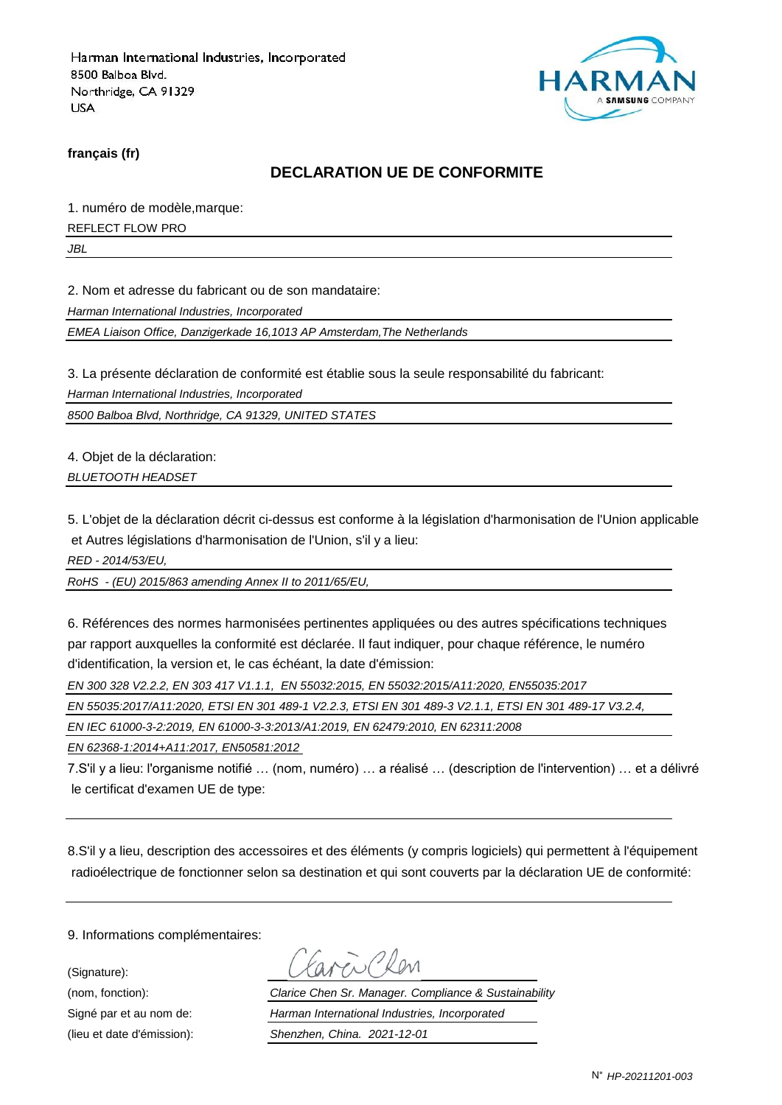

**français (fr)**

#### **DECLARATION UE DE CONFORMITE**

1. numéro de modèle,marque:

REFLECT FLOW PRO

*JBL*

2. Nom et adresse du fabricant ou de son mandataire:

*Harman International Industries, Incorporated*

*EMEA Liaison Office, Danzigerkade 16,1013 AP Amsterdam,The Netherlands*

3. La présente déclaration de conformité est établie sous la seule responsabilité du fabricant:

*Harman International Industries, Incorporated*

*8500 Balboa Blvd, Northridge, CA 91329, UNITED STATES*

4. Objet de la déclaration: *BLUETOOTH HEADSET*

5. L'objet de la déclaration décrit ci-dessus est conforme à la législation d'harmonisation de l'Union applicable et Autres législations d'harmonisation de l'Union, s'il y a lieu:

*RED - 2014/53/EU,*

*RoHS - (EU) 2015/863 amending Annex II to 2011/65/EU,*

6. Références des normes harmonisées pertinentes appliquées ou des autres spécifications techniques par rapport auxquelles la conformité est déclarée. Il faut indiquer, pour chaque référence, le numéro d'identification, la version et, le cas échéant, la date d'émission:

*EN 300 328 V2.2.2, EN 303 417 V1.1.1, EN 55032:2015, EN 55032:2015/A11:2020, EN55035:2017*

*EN 55035:2017/A11:2020, ETSI EN 301 489-1 V2.2.3, ETSI EN 301 489-3 V2.1.1, ETSI EN 301 489-17 V3.2.4,* 

*EN IEC 61000-3-2:2019, EN 61000-3-3:2013/A1:2019, EN 62479:2010, EN 62311:2008*

*EN 62368-1:2014+A11:2017, EN50581:2012* 

7.S'il y a lieu: l'organisme notifié … (nom, numéro) … a réalisé … (description de l'intervention) … et a délivré le certificat d'examen UE de type:

8.S'il y a lieu, description des accessoires et des éléments (y compris logiciels) qui permettent à l'équipement radioélectrique de fonctionner selon sa destination et qui sont couverts par la déclaration UE de conformité:

9. Informations complémentaires:

(Signature):

(nom, fonction): *Clarice Chen Sr. Manager. Compliance & Sustainability* Signé par et au nom de: *Harman International Industries, Incorporated* (lieu et date d'émission): *Shenzhen, China. 2021-12-01*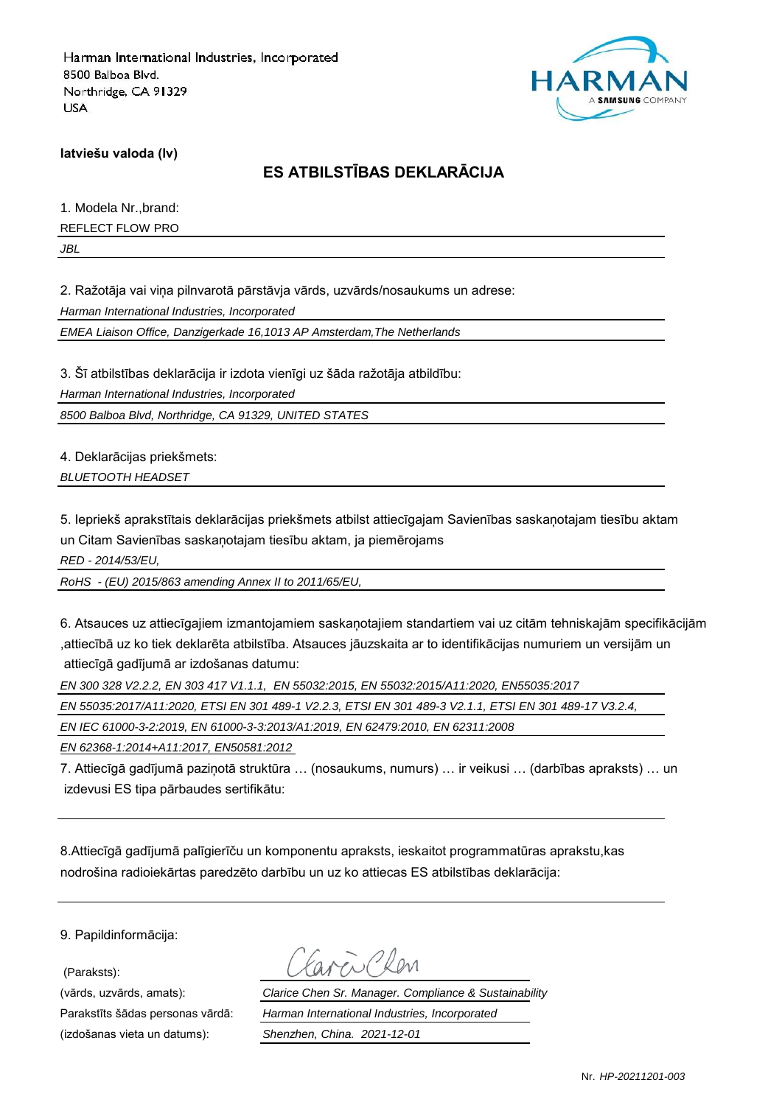

**latviešu valoda (lv)**

## **ES ATBILSTĪBAS DEKLARĀCIJA**

1. Modela Nr.,brand:

REFLECT FLOW PRO

*JBL*

2. Ražotāja vai viņa pilnvarotā pārstāvja vārds, uzvārds/nosaukums un adrese:

*Harman International Industries, Incorporated*

*EMEA Liaison Office, Danzigerkade 16,1013 AP Amsterdam,The Netherlands*

3. Šī atbilstības deklarācija ir izdota vienīgi uz šāda ražotāja atbildību: *Harman International Industries, Incorporated 8500 Balboa Blvd, Northridge, CA 91329, UNITED STATES*

4. Deklarācijas priekšmets: *BLUETOOTH HEADSET*

5. Iepriekš aprakstītais deklarācijas priekšmets atbilst attiecīgajam Savienības saskaņotajam tiesību aktam un Citam Savienības saskaņotajam tiesību aktam, ja piemērojams

*RED - 2014/53/EU,*

*RoHS - (EU) 2015/863 amending Annex II to 2011/65/EU,*

6. Atsauces uz attiecīgajiem izmantojamiem saskaņotajiem standartiem vai uz citām tehniskajām specifikācijām ,attiecībā uz ko tiek deklarēta atbilstība. Atsauces jāuzskaita ar to identifikācijas numuriem un versijām un attiecīgā gadījumā ar izdošanas datumu:

*EN 300 328 V2.2.2, EN 303 417 V1.1.1, EN 55032:2015, EN 55032:2015/A11:2020, EN55035:2017*

*EN 55035:2017/A11:2020, ETSI EN 301 489-1 V2.2.3, ETSI EN 301 489-3 V2.1.1, ETSI EN 301 489-17 V3.2.4,* 

*EN IEC 61000-3-2:2019, EN 61000-3-3:2013/A1:2019, EN 62479:2010, EN 62311:2008*

*EN 62368-1:2014+A11:2017, EN50581:2012* 

7. Attiecīgā gadījumā paziņotā struktūra … (nosaukums, numurs) … ir veikusi … (darbības apraksts) … un izdevusi ES tipa pārbaudes sertifikātu:

8.Attiecīgā gadījumā palīgierīču un komponentu apraksts, ieskaitot programmatūras aprakstu,kas nodrošina radioiekārtas paredzēto darbību un uz ko attiecas ES atbilstības deklarācija:

9. Papildinformācija:

(Paraksts):

(izdošanas vieta un datums): *Shenzhen, China. 2021-12-01*

(vārds, uzvārds, amats): *Clarice Chen Sr. Manager. Compliance & Sustainability* Parakstīts šādas personas vārdā: *Harman International Industries, Incorporated*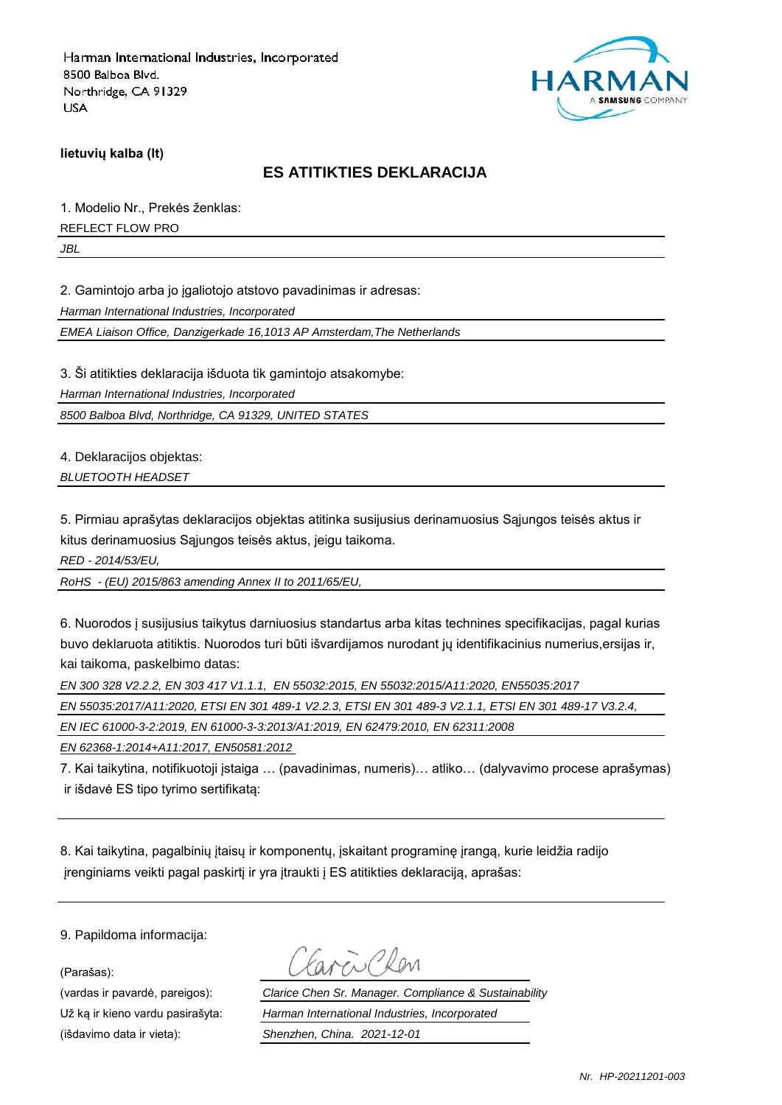

**lietuvių kalba (lt)**

#### **ES ATITIKTIES DEKLARACIJA**

1. Modelio Nr., Prekės ženklas:

REFLECT FLOW PRO

*JBL*

2. Gamintojo arba jo įgaliotojo atstovo pavadinimas ir adresas:

*Harman International Industries, Incorporated*

*EMEA Liaison Office, Danzigerkade 16,1013 AP Amsterdam,The Netherlands*

3. Ši atitikties deklaracija išduota tik gamintojo atsakomybe:

*Harman International Industries, Incorporated*

*8500 Balboa Blvd, Northridge, CA 91329, UNITED STATES*

4. Deklaracijos objektas:

*BLUETOOTH HEADSET*

5. Pirmiau aprašytas deklaracijos objektas atitinka susijusius derinamuosius Sąjungos teisės aktus ir kitus derinamuosius Sąjungos teisės aktus, jeigu taikoma.

*RED - 2014/53/EU,*

*RoHS - (EU) 2015/863 amending Annex II to 2011/65/EU,*

6. Nuorodos į susijusius taikytus darniuosius standartus arba kitas technines specifikacijas, pagal kurias buvo deklaruota atitiktis. Nuorodos turi būti išvardijamos nurodant jų identifikacinius numerius,ersijas ir, kai taikoma, paskelbimo datas:

*EN 300 328 V2.2.2, EN 303 417 V1.1.1, EN 55032:2015, EN 55032:2015/A11:2020, EN55035:2017*

*EN 55035:2017/A11:2020, ETSI EN 301 489-1 V2.2.3, ETSI EN 301 489-3 V2.1.1, ETSI EN 301 489-17 V3.2.4,* 

*EN IEC 61000-3-2:2019, EN 61000-3-3:2013/A1:2019, EN 62479:2010, EN 62311:2008*

*EN 62368-1:2014+A11:2017, EN50581:2012* 

7. Kai taikytina, notifikuotoji įstaiga … (pavadinimas, numeris)… atliko… (dalyvavimo procese aprašymas) ir išdavė ES tipo tyrimo sertifikatą:

8. Kai taikytina, pagalbinių įtaisų ir komponentų, įskaitant programinę įrangą, kurie leidžia radijo įrenginiams veikti pagal paskirtį ir yra įtraukti į ES atitikties deklaraciją, aprašas:

9. Papildoma informacija:

(Parašas):

(išdavimo data ir vieta): *Shenzhen, China. 2021-12-01*

(vardas ir pavardė, pareigos): *Clarice Chen Sr. Manager. Compliance & Sustainability* Už ką ir kieno vardu pasirašyta: *Harman International Industries, Incorporated*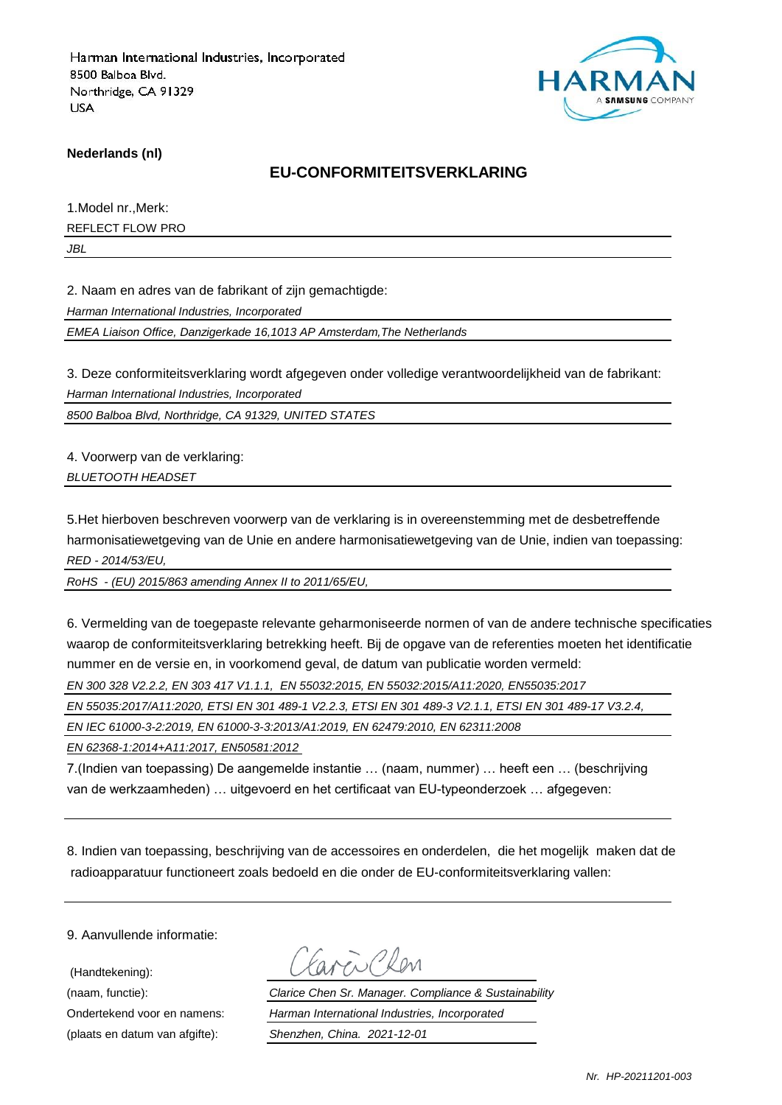

**Nederlands (nl)**

#### **EU-CONFORMITEITSVERKLARING**

1.Model nr.,Merk:

REFLECT FLOW PRO

*JBL*

2. Naam en adres van de fabrikant of zijn gemachtigde:

*Harman International Industries, Incorporated*

*EMEA Liaison Office, Danzigerkade 16,1013 AP Amsterdam,The Netherlands*

3. Deze conformiteitsverklaring wordt afgegeven onder volledige verantwoordelijkheid van de fabrikant:

*Harman International Industries, Incorporated*

*8500 Balboa Blvd, Northridge, CA 91329, UNITED STATES*

4. Voorwerp van de verklaring: *BLUETOOTH HEADSET*

5.Het hierboven beschreven voorwerp van de verklaring is in overeenstemming met de desbetreffende harmonisatiewetgeving van de Unie en andere harmonisatiewetgeving van de Unie, indien van toepassing: *RED - 2014/53/EU,*

*RoHS - (EU) 2015/863 amending Annex II to 2011/65/EU,*

6. Vermelding van de toegepaste relevante geharmoniseerde normen of van de andere technische specificaties waarop de conformiteitsverklaring betrekking heeft. Bij de opgave van de referenties moeten het identificatie nummer en de versie en, in voorkomend geval, de datum van publicatie worden vermeld:

*EN 300 328 V2.2.2, EN 303 417 V1.1.1, EN 55032:2015, EN 55032:2015/A11:2020, EN55035:2017*

*EN 55035:2017/A11:2020, ETSI EN 301 489-1 V2.2.3, ETSI EN 301 489-3 V2.1.1, ETSI EN 301 489-17 V3.2.4,* 

*EN IEC 61000-3-2:2019, EN 61000-3-3:2013/A1:2019, EN 62479:2010, EN 62311:2008*

*EN 62368-1:2014+A11:2017, EN50581:2012* 

7.(Indien van toepassing) De aangemelde instantie … (naam, nummer) … heeft een … (beschrijving van de werkzaamheden) … uitgevoerd en het certificaat van EU-typeonderzoek … afgegeven:

8. Indien van toepassing, beschrijving van de accessoires en onderdelen, die het mogelijk maken dat de radioapparatuur functioneert zoals bedoeld en die onder de EU-conformiteitsverklaring vallen:

9. Aanvullende informatie:

 (Handtekening): (plaats en datum van afgifte): *Shenzhen, China. 2021-12-01*

(naam, functie): *Clarice Chen Sr. Manager. Compliance & Sustainability* Ondertekend voor en namens: *Harman International Industries, Incorporated*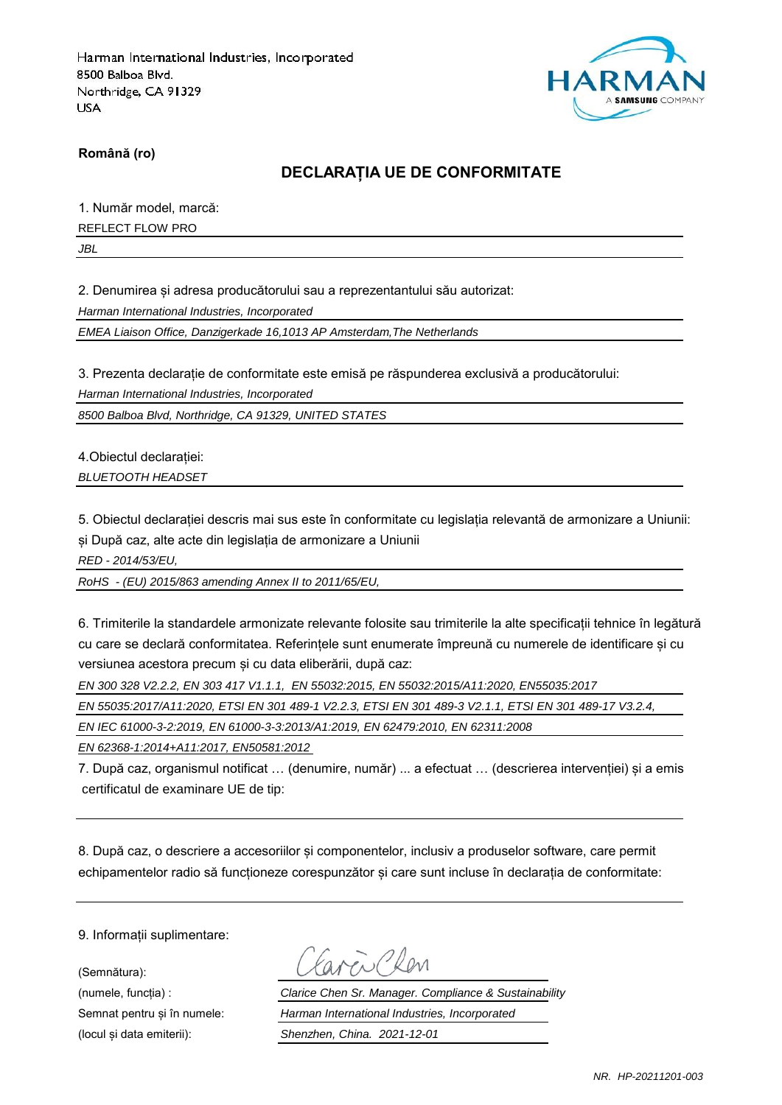

**Română (ro)**

### **DECLARAȚIA UE DE CONFORMITATE**

1. Număr model, marcă:

REFLECT FLOW PRO

*JBL*

2. Denumirea și adresa producătorului sau a reprezentantului său autorizat:

*Harman International Industries, Incorporated*

*EMEA Liaison Office, Danzigerkade 16,1013 AP Amsterdam,The Netherlands*

3. Prezenta declarație de conformitate este emisă pe răspunderea exclusivă a producătorului:

*Harman International Industries, Incorporated*

*8500 Balboa Blvd, Northridge, CA 91329, UNITED STATES*

4.Obiectul declarației: *BLUETOOTH HEADSET*

5. Obiectul declarației descris mai sus este în conformitate cu legislația relevantă de armonizare a Uniunii: și După caz, alte acte din legislația de armonizare a Uniunii

*RED - 2014/53/EU,*

*RoHS - (EU) 2015/863 amending Annex II to 2011/65/EU,*

6. Trimiterile la standardele armonizate relevante folosite sau trimiterile la alte specificații tehnice în legătură cu care se declară conformitatea. Referințele sunt enumerate împreună cu numerele de identificare și cu versiunea acestora precum și cu data eliberării, după caz:

*EN 300 328 V2.2.2, EN 303 417 V1.1.1, EN 55032:2015, EN 55032:2015/A11:2020, EN55035:2017*

*EN 55035:2017/A11:2020, ETSI EN 301 489-1 V2.2.3, ETSI EN 301 489-3 V2.1.1, ETSI EN 301 489-17 V3.2.4,* 

*EN IEC 61000-3-2:2019, EN 61000-3-3:2013/A1:2019, EN 62479:2010, EN 62311:2008*

*EN 62368-1:2014+A11:2017, EN50581:2012* 

7. După caz, organismul notificat … (denumire, număr) ... a efectuat … (descrierea intervenției) și a emis certificatul de examinare UE de tip:

8. După caz, o descriere a accesoriilor și componentelor, inclusiv a produselor software, care permit echipamentelor radio să functioneze corespunzător și care sunt incluse în declaratia de conformitate:

9. Informații suplimentare:

(Semnătura):

Carci Clen

(numele, funcția) : *Clarice Chen Sr. Manager. Compliance & Sustainability* Semnat pentru și în numele: *Harman International Industries, Incorporated* (locul și data emiterii): *Shenzhen, China. 2021-12-01*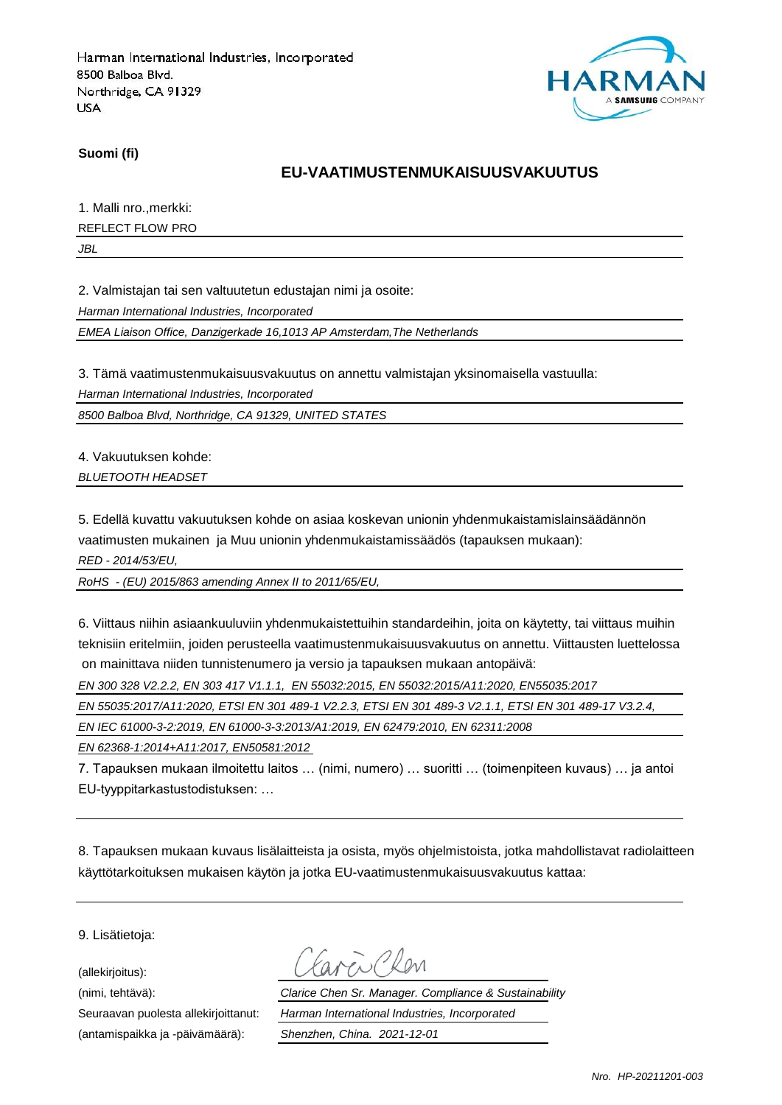

**Suomi (fi)**

### **EU-VAATIMUSTENMUKAISUUSVAKUUTUS**

1. Malli nro.,merkki:

REFLECT FLOW PRO

*JBL*

2. Valmistajan tai sen valtuutetun edustajan nimi ja osoite:

*Harman International Industries, Incorporated*

*EMEA Liaison Office, Danzigerkade 16,1013 AP Amsterdam,The Netherlands*

3. Tämä vaatimustenmukaisuusvakuutus on annettu valmistajan yksinomaisella vastuulla:

*Harman International Industries, Incorporated*

*8500 Balboa Blvd, Northridge, CA 91329, UNITED STATES*

4. Vakuutuksen kohde: *BLUETOOTH HEADSET*

5. Edellä kuvattu vakuutuksen kohde on asiaa koskevan unionin yhdenmukaistamislainsäädännön vaatimusten mukainen ja Muu unionin yhdenmukaistamissäädös (tapauksen mukaan):

*RED - 2014/53/EU,*

*RoHS - (EU) 2015/863 amending Annex II to 2011/65/EU,*

6. Viittaus niihin asiaankuuluviin yhdenmukaistettuihin standardeihin, joita on käytetty, tai viittaus muihin teknisiin eritelmiin, joiden perusteella vaatimustenmukaisuusvakuutus on annettu. Viittausten luettelossa on mainittava niiden tunnistenumero ja versio ja tapauksen mukaan antopäivä:

*EN 300 328 V2.2.2, EN 303 417 V1.1.1, EN 55032:2015, EN 55032:2015/A11:2020, EN55035:2017*

*EN 55035:2017/A11:2020, ETSI EN 301 489-1 V2.2.3, ETSI EN 301 489-3 V2.1.1, ETSI EN 301 489-17 V3.2.4,* 

*EN IEC 61000-3-2:2019, EN 61000-3-3:2013/A1:2019, EN 62479:2010, EN 62311:2008*

*EN 62368-1:2014+A11:2017, EN50581:2012* 

7. Tapauksen mukaan ilmoitettu laitos … (nimi, numero) … suoritti … (toimenpiteen kuvaus) … ja antoi EU-tyyppitarkastustodistuksen: …

8. Tapauksen mukaan kuvaus lisälaitteista ja osista, myös ohjelmistoista, jotka mahdollistavat radiolaitteen käyttötarkoituksen mukaisen käytön ja jotka EU-vaatimustenmukaisuusvakuutus kattaa:

9. Lisätietoja:

(allekirjoitus):

(antamispaikka ja -päivämäärä): *Shenzhen, China. 2021-12-01*

(nimi, tehtävä): *Clarice Chen Sr. Manager. Compliance & Sustainability* Seuraavan puolesta allekirjoittanut: *Harman International Industries, Incorporated*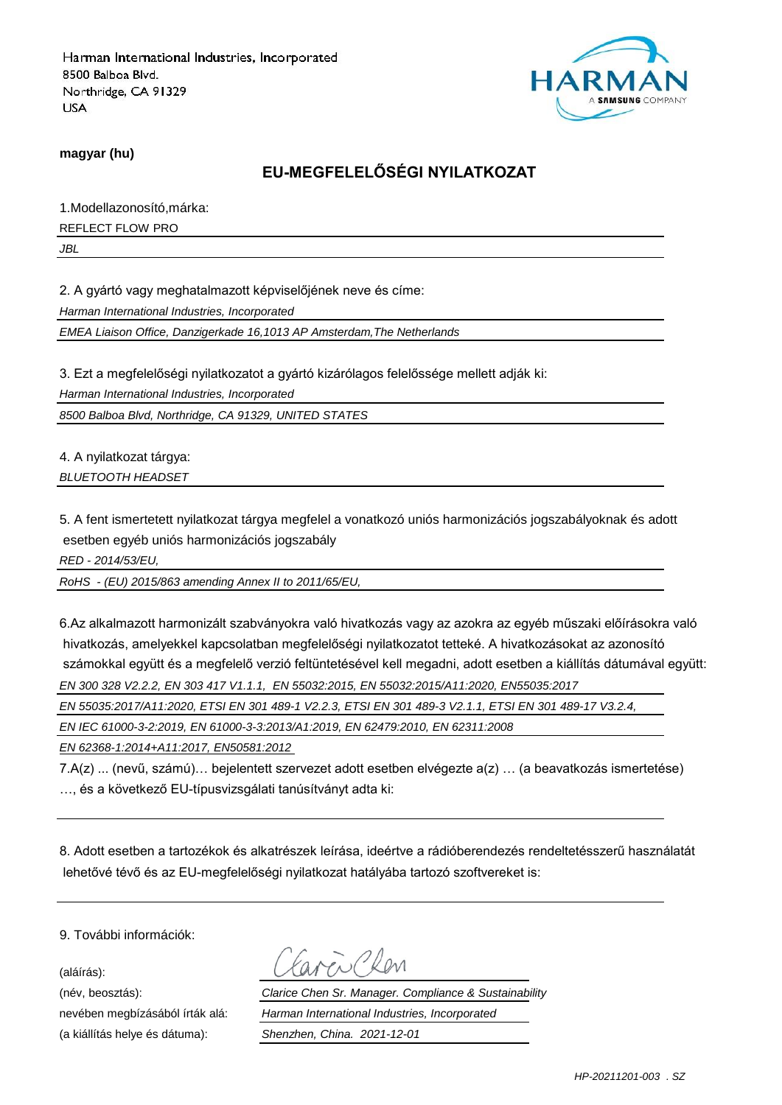

**magyar (hu)**

# **EU-MEGFELELŐSÉGI NYILATKOZAT**

1.Modellazonosító,márka:

REFLECT FLOW PRO

*JBL*

2. A gyártó vagy meghatalmazott képviselőjének neve és címe:

*Harman International Industries, Incorporated*

*EMEA Liaison Office, Danzigerkade 16,1013 AP Amsterdam,The Netherlands*

3. Ezt a megfelelőségi nyilatkozatot a gyártó kizárólagos felelőssége mellett adják ki:

*Harman International Industries, Incorporated*

*8500 Balboa Blvd, Northridge, CA 91329, UNITED STATES*

4. A nyilatkozat tárgya: *BLUETOOTH HEADSET*

5. A fent ismertetett nyilatkozat tárgya megfelel a vonatkozó uniós harmonizációs jogszabályoknak és adott esetben egyéb uniós harmonizációs jogszabály

*RED - 2014/53/EU,*

*RoHS - (EU) 2015/863 amending Annex II to 2011/65/EU,*

6.Az alkalmazott harmonizált szabványokra való hivatkozás vagy az azokra az egyéb műszaki előírásokra való hivatkozás, amelyekkel kapcsolatban megfelelőségi nyilatkozatot tetteké. A hivatkozásokat az azonosító számokkal együtt és a megfelelő verzió feltüntetésével kell megadni, adott esetben a kiállítás dátumával együtt: *EN 300 328 V2.2.2, EN 303 417 V1.1.1, EN 55032:2015, EN 55032:2015/A11:2020, EN55035:2017*

*EN 55035:2017/A11:2020, ETSI EN 301 489-1 V2.2.3, ETSI EN 301 489-3 V2.1.1, ETSI EN 301 489-17 V3.2.4,* 

*EN IEC 61000-3-2:2019, EN 61000-3-3:2013/A1:2019, EN 62479:2010, EN 62311:2008*

*EN 62368-1:2014+A11:2017, EN50581:2012* 

7.A(z) ... (nevű, számú)… bejelentett szervezet adott esetben elvégezte a(z) … (a beavatkozás ismertetése) …, és a következő EU-típusvizsgálati tanúsítványt adta ki:

8. Adott esetben a tartozékok és alkatrészek leírása, ideértve a rádióberendezés rendeltetésszerű használatát lehetővé tévő és az EU-megfelelőségi nyilatkozat hatályába tartozó szoftvereket is:

9. További információk:

(aláírás):

(a kiállítás helye és dátuma): *Shenzhen, China. 2021-12-01*

(név, beosztás): *Clarice Chen Sr. Manager. Compliance & Sustainability* nevében megbízásából írták alá: *Harman International Industries, Incorporated*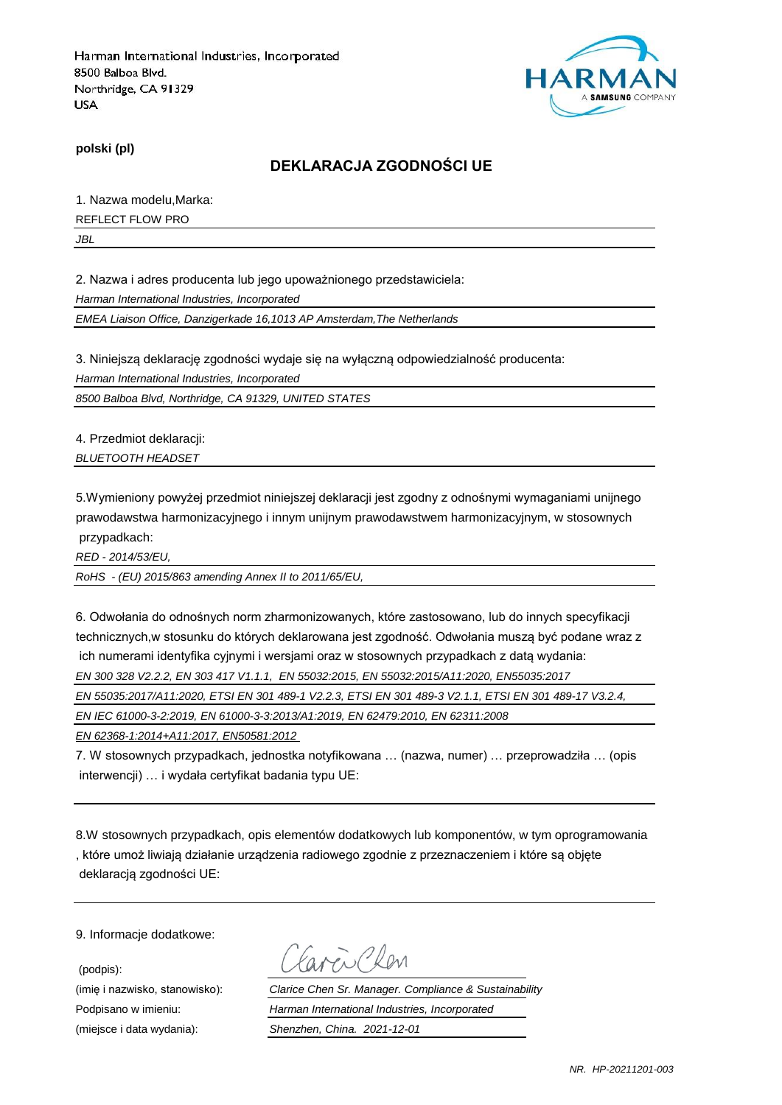

**polski (pl)**

### **DEKLARACJA ZGODNOŚCI UE**

1. Nazwa modelu,Marka: REFLECT FLOW PRO

*JBL*

2. Nazwa i adres producenta lub jego upoważnionego przedstawiciela:

*Harman International Industries, Incorporated*

*EMEA Liaison Office, Danzigerkade 16,1013 AP Amsterdam,The Netherlands*

3. Niniejszą deklarację zgodności wydaje się na wyłączną odpowiedzialność producenta:

*Harman International Industries, Incorporated*

*8500 Balboa Blvd, Northridge, CA 91329, UNITED STATES*

4. Przedmiot deklaracji:

*BLUETOOTH HEADSET*

5.Wymieniony powyżej przedmiot niniejszej deklaracji jest zgodny z odnośnymi wymaganiami unijnego prawodawstwa harmonizacyjnego i innym unijnym prawodawstwem harmonizacyjnym, w stosownych przypadkach:

*RED - 2014/53/EU,*

*RoHS - (EU) 2015/863 amending Annex II to 2011/65/EU,*

6. Odwołania do odnośnych norm zharmonizowanych, które zastosowano, lub do innych specyfikacji technicznych,w stosunku do których deklarowana jest zgodność. Odwołania muszą być podane wraz z ich numerami identyfika cyjnymi i wersjami oraz w stosownych przypadkach z datą wydania:

*EN 300 328 V2.2.2, EN 303 417 V1.1.1, EN 55032:2015, EN 55032:2015/A11:2020, EN55035:2017*

*EN 55035:2017/A11:2020, ETSI EN 301 489-1 V2.2.3, ETSI EN 301 489-3 V2.1.1, ETSI EN 301 489-17 V3.2.4,* 

*EN IEC 61000-3-2:2019, EN 61000-3-3:2013/A1:2019, EN 62479:2010, EN 62311:2008*

*EN 62368-1:2014+A11:2017, EN50581:2012* 

7. W stosownych przypadkach, jednostka notyfikowana … (nazwa, numer) … przeprowadziła … (opis interwencji) … i wydała certyfikat badania typu UE:

8.W stosownych przypadkach, opis elementów dodatkowych lub komponentów, w tym oprogramowania , które umoż liwiają działanie urządzenia radiowego zgodnie z przeznaczeniem i które są objęte deklaracją zgodności UE:

9. Informacje dodatkowe:

(podpis):

Favor Chen

(imię i nazwisko, stanowisko): *Clarice Chen Sr. Manager. Compliance & Sustainability* Podpisano w imieniu: *Harman International Industries, Incorporated* (miejsce i data wydania): *Shenzhen, China. 2021-12-01*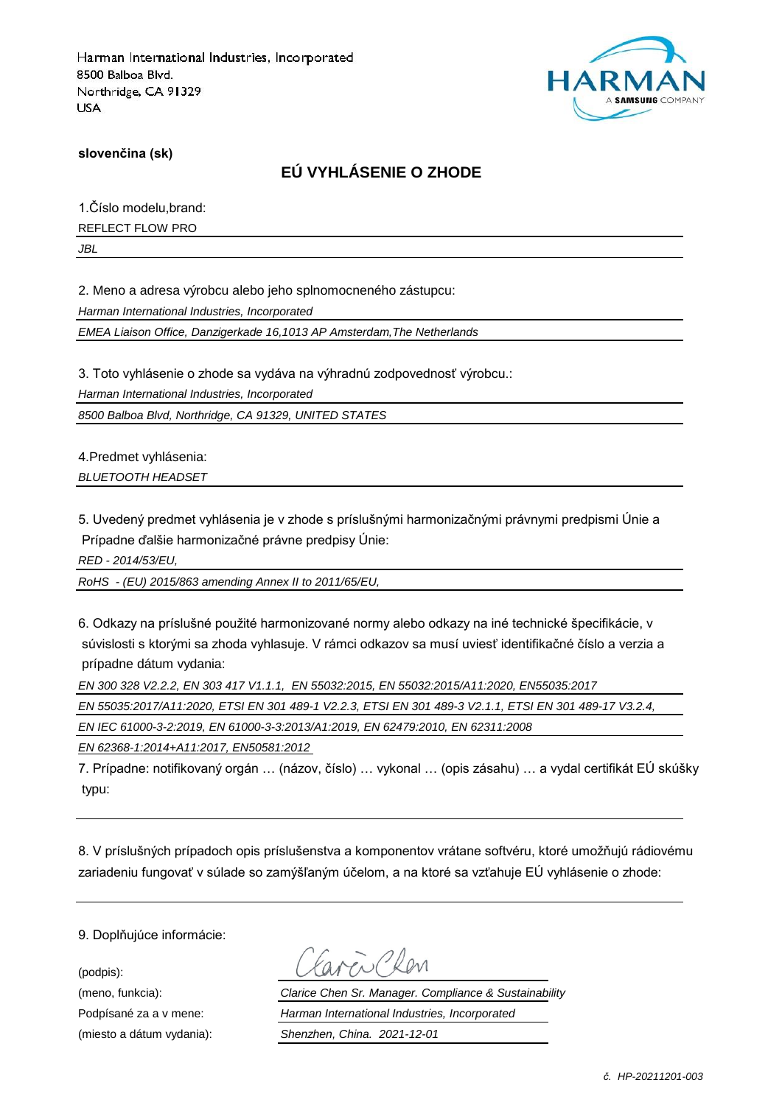

**slovenčina (sk)**

## **EÚ VYHLÁSENIE O ZHODE**

1.Číslo modelu,brand:

REFLECT FLOW PRO

*JBL*

2. Meno a adresa výrobcu alebo jeho splnomocneného zástupcu:

*Harman International Industries, Incorporated*

*EMEA Liaison Office, Danzigerkade 16,1013 AP Amsterdam,The Netherlands*

3. Toto vyhlásenie o zhode sa vydáva na výhradnú zodpovednosť výrobcu.:

*Harman International Industries, Incorporated*

*8500 Balboa Blvd, Northridge, CA 91329, UNITED STATES*

4.Predmet vyhlásenia: *BLUETOOTH HEADSET*

5. Uvedený predmet vyhlásenia je v zhode s príslušnými harmonizačnými právnymi predpismi Únie a Prípadne ďalšie harmonizačné právne predpisy Únie:

*RED - 2014/53/EU,*

*RoHS - (EU) 2015/863 amending Annex II to 2011/65/EU,*

6. Odkazy na príslušné použité harmonizované normy alebo odkazy na iné technické špecifikácie, v súvislosti s ktorými sa zhoda vyhlasuje. V rámci odkazov sa musí uviesť identifikačné číslo a verzia a prípadne dátum vydania:

*EN 300 328 V2.2.2, EN 303 417 V1.1.1, EN 55032:2015, EN 55032:2015/A11:2020, EN55035:2017*

*EN 55035:2017/A11:2020, ETSI EN 301 489-1 V2.2.3, ETSI EN 301 489-3 V2.1.1, ETSI EN 301 489-17 V3.2.4,* 

*EN IEC 61000-3-2:2019, EN 61000-3-3:2013/A1:2019, EN 62479:2010, EN 62311:2008*

*EN 62368-1:2014+A11:2017, EN50581:2012* 

7. Prípadne: notifikovaný orgán … (názov, číslo) … vykonal … (opis zásahu) … a vydal certifikát EÚ skúšky typu:

8. V príslušných prípadoch opis príslušenstva a komponentov vrátane softvéru, ktoré umožňujú rádiovému zariadeniu fungovať v súlade so zamýšľaným účelom, a na ktoré sa vzťahuje EÚ vyhlásenie o zhode:

9. Doplňujúce informácie:

(podpis):

(meno, funkcia): *Clarice Chen Sr. Manager. Compliance & Sustainability* Podpísané za a v mene: *Harman International Industries, Incorporated* (miesto a dátum vydania): *Shenzhen, China. 2021-12-01*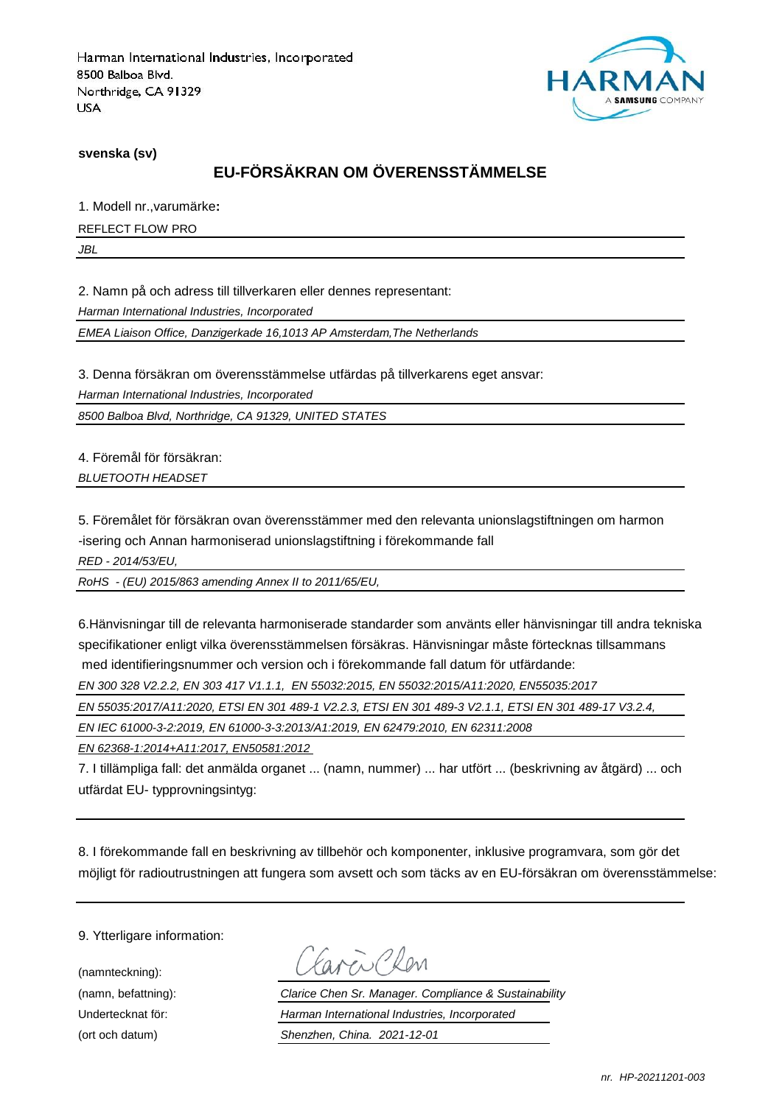

**svenska (sv)**

# **EU-FÖRSÄKRAN OM ÖVERENSSTÄMMELSE**

1. Modell nr.,varumärke**:**

REFLECT FLOW PRO

*JBL*

2. Namn på och adress till tillverkaren eller dennes representant:

*Harman International Industries, Incorporated*

*EMEA Liaison Office, Danzigerkade 16,1013 AP Amsterdam,The Netherlands*

3. Denna försäkran om överensstämmelse utfärdas på tillverkarens eget ansvar:

*Harman International Industries, Incorporated*

*8500 Balboa Blvd, Northridge, CA 91329, UNITED STATES*

4. Föremål för försäkran: *BLUETOOTH HEADSET*

5. Föremålet för försäkran ovan överensstämmer med den relevanta unionslagstiftningen om harmon -isering och Annan harmoniserad unionslagstiftning i förekommande fall

*RED - 2014/53/EU,*

*RoHS - (EU) 2015/863 amending Annex II to 2011/65/EU,*

6.Hänvisningar till de relevanta harmoniserade standarder som använts eller hänvisningar till andra tekniska specifikationer enligt vilka överensstämmelsen försäkras. Hänvisningar måste förtecknas tillsammans med identifieringsnummer och version och i förekommande fall datum för utfärdande:

*EN 300 328 V2.2.2, EN 303 417 V1.1.1, EN 55032:2015, EN 55032:2015/A11:2020, EN55035:2017*

*EN 55035:2017/A11:2020, ETSI EN 301 489-1 V2.2.3, ETSI EN 301 489-3 V2.1.1, ETSI EN 301 489-17 V3.2.4,* 

*EN IEC 61000-3-2:2019, EN 61000-3-3:2013/A1:2019, EN 62479:2010, EN 62311:2008*

*EN 62368-1:2014+A11:2017, EN50581:2012* 

7. I tillämpliga fall: det anmälda organet ... (namn, nummer) ... har utfört ... (beskrivning av åtgärd) ... och utfärdat EU- typprovningsintyg:

8. I förekommande fall en beskrivning av tillbehör och komponenter, inklusive programvara, som gör det möjligt för radioutrustningen att fungera som avsett och som täcks av en EU-försäkran om överensstämmelse:

9. Ytterligare information:

(namnteckning):

Carcio Clev

(namn, befattning): *Clarice Chen Sr. Manager. Compliance & Sustainability* Undertecknat för: *Harman International Industries, Incorporated* (ort och datum) *Shenzhen, China. 2021-12-01*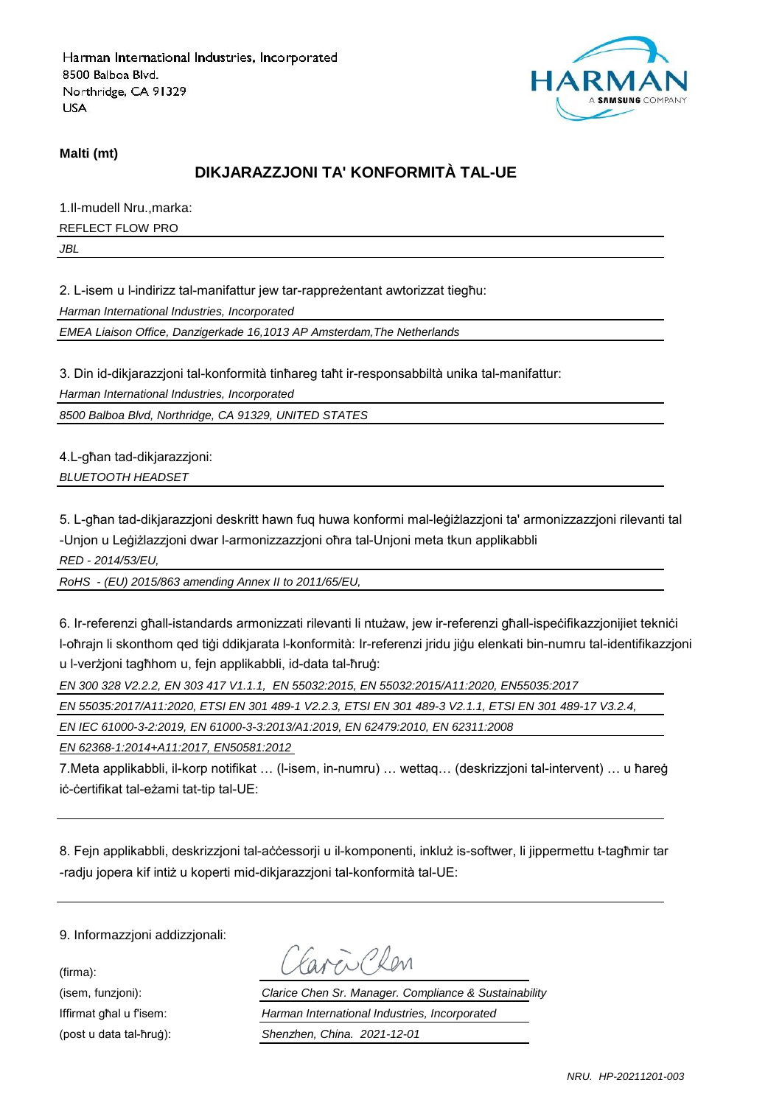

#### **Malti (mt)**

### **DIKJARAZZJONI TA' KONFORMITÀ TAL-UE**

1.Il-mudell Nru.,marka:

REFLECT FLOW PRO

*JBL*

2. L-isem u l-indirizz tal-manifattur jew tar-rappreżentant awtorizzat tiegħu:

*Harman International Industries, Incorporated*

*EMEA Liaison Office, Danzigerkade 16,1013 AP Amsterdam,The Netherlands*

3. Din id-dikjarazzjoni tal-konformità tinħareg taħt ir-responsabbiltà unika tal-manifattur:

*Harman International Industries, Incorporated*

*8500 Balboa Blvd, Northridge, CA 91329, UNITED STATES*

4.L-għan tad-dikjarazzjoni: *BLUETOOTH HEADSET*

5. L-għan tad-dikjarazzjoni deskritt hawn fuq huwa konformi mal-leġiżlazzjoni ta' armonizzazzjoni rilevanti tal -Unjon u Leġiżlazzjoni dwar l-armonizzazzjoni oħra tal-Unjoni meta tkun applikabbli

*RED - 2014/53/EU,*

*RoHS - (EU) 2015/863 amending Annex II to 2011/65/EU,*

6. Ir-referenzi għall-istandards armonizzati rilevanti li ntużaw, jew ir-referenzi għall-ispeċifikazzjonijiet tekniċi l-oħrajn li skonthom qed tiġi ddikjarata l-konformità: Ir-referenzi jridu jiġu elenkati bin-numru tal-identifikazzjoni u l-verżjoni tagħhom u, fejn applikabbli, id-data tal-ħruġ:

*EN 300 328 V2.2.2, EN 303 417 V1.1.1, EN 55032:2015, EN 55032:2015/A11:2020, EN55035:2017*

*EN 55035:2017/A11:2020, ETSI EN 301 489-1 V2.2.3, ETSI EN 301 489-3 V2.1.1, ETSI EN 301 489-17 V3.2.4,* 

*EN IEC 61000-3-2:2019, EN 61000-3-3:2013/A1:2019, EN 62479:2010, EN 62311:2008*

*EN 62368-1:2014+A11:2017, EN50581:2012* 

7.Meta applikabbli, il-korp notifikat … (l-isem, in-numru) … wettaq… (deskrizzjoni tal-intervent) … u ħareġ iċ-ċertifikat tal-eżami tat-tip tal-UE:

8. Fejn applikabbli, deskrizzjoni tal-aċċessorji u il-komponenti, inkluż is-softwer, li jippermettu t-tagħmir tar -radju jopera kif intiż u koperti mid-dikjarazzjoni tal-konformità tal-UE:

9. Informazzjoni addizzjonali:

(firma):

aven Clen

(isem, funzjoni): *Clarice Chen Sr. Manager. Compliance & Sustainability* Iffirmat għal u f'isem: *Harman International Industries, Incorporated* (post u data tal-ħruġ): *Shenzhen, China. 2021-12-01*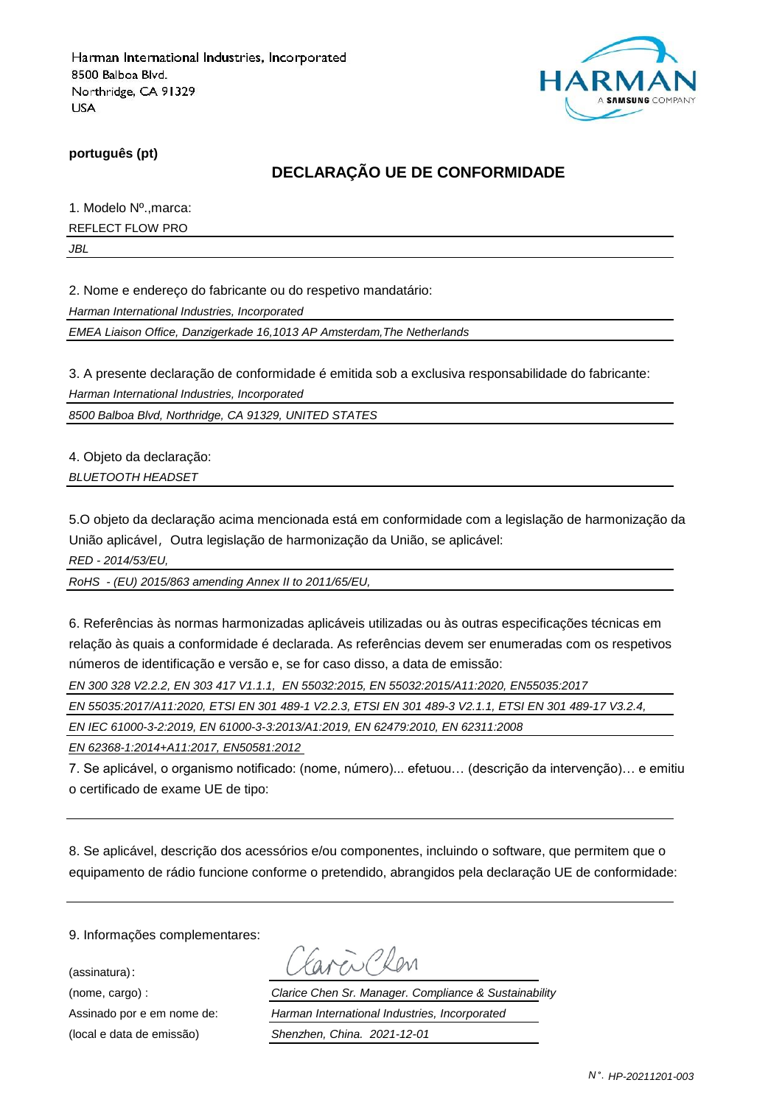

**português (pt)**

### **DECLARAÇÃO UE DE CONFORMIDADE**

1. Modelo Nº.,marca:

REFLECT FLOW PRO

*JBL*

2. Nome e endereço do fabricante ou do respetivo mandatário:

*Harman International Industries, Incorporated*

*EMEA Liaison Office, Danzigerkade 16,1013 AP Amsterdam,The Netherlands*

3. A presente declaração de conformidade é emitida sob a exclusiva responsabilidade do fabricante:

*Harman International Industries, Incorporated*

*8500 Balboa Blvd, Northridge, CA 91329, UNITED STATES*

4. Objeto da declaração: *BLUETOOTH HEADSET*

5.O objeto da declaração acima mencionada está em conformidade com a legislação de harmonização da União aplicável, Outra legislação de harmonização da União, se aplicável:

*RED - 2014/53/EU,*

*RoHS - (EU) 2015/863 amending Annex II to 2011/65/EU,*

6. Referências às normas harmonizadas aplicáveis utilizadas ou às outras especificações técnicas em relação às quais a conformidade é declarada. As referências devem ser enumeradas com os respetivos números de identificação e versão e, se for caso disso, a data de emissão:

*EN 300 328 V2.2.2, EN 303 417 V1.1.1, EN 55032:2015, EN 55032:2015/A11:2020, EN55035:2017*

*EN 55035:2017/A11:2020, ETSI EN 301 489-1 V2.2.3, ETSI EN 301 489-3 V2.1.1, ETSI EN 301 489-17 V3.2.4,* 

*EN IEC 61000-3-2:2019, EN 61000-3-3:2013/A1:2019, EN 62479:2010, EN 62311:2008*

*EN 62368-1:2014+A11:2017, EN50581:2012* 

7. Se aplicável, o organismo notificado: (nome, número)... efetuou… (descrição da intervenção)… e emitiu o certificado de exame UE de tipo:

8. Se aplicável, descrição dos acessórios e/ou componentes, incluindo o software, que permitem que o equipamento de rádio funcione conforme o pretendido, abrangidos pela declaração UE de conformidade:

9. Informações complementares:

(assinatura):

(nome, cargo) : *Clarice Chen Sr. Manager. Compliance & Sustainability* Assinado por e em nome de: *Harman International Industries, Incorporated* (local e data de emissão) *Shenzhen, China. 2021-12-01*